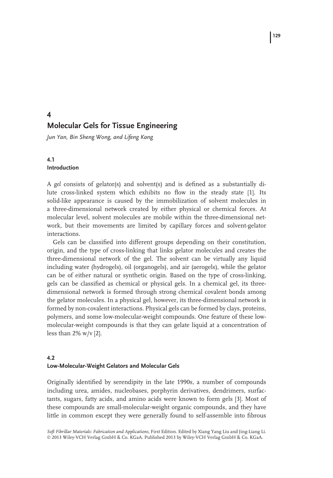*Jun Yan, Bin Sheng Wong, and Lifeng Kang*

#### **4.1 Introduction**

A *gel* consists of gelator(s) and solvent(s) and is defined as a substantially dilute cross-linked system which exhibits no flow in the steady state [1]. Its solid-like appearance is caused by the immobilization of solvent molecules in a three-dimensional network created by either physical or chemical forces. At molecular level, solvent molecules are mobile within the three-dimensional network, but their movements are limited by capillary forces and solvent-gelator interactions.

Gels can be classified into different groups depending on their constitution, origin, and the type of cross-linking that links gelator molecules and creates the three-dimensional network of the gel. The solvent can be virtually any liquid including water (hydrogels), oil (organogels), and air (aerogels), while the gelator can be of either natural or synthetic origin. Based on the type of cross-linking, gels can be classified as chemical or physical gels. In a chemical gel, its threedimensional network is formed through strong chemical covalent bonds among the gelator molecules. In a physical gel, however, its three-dimensional network is formed by non-covalent interactions. Physical gels can be formed by clays, proteins, polymers, and some low-molecular-weight compounds. One feature of these lowmolecular-weight compounds is that they can gelate liquid at a concentration of less than 2% w/v [2].

## **4.2 Low-Molecular-Weight Gelators and Molecular Gels**

Originally identified by serendipity in the late 1990s, a number of compounds including urea, amides, nucleobases, porphyrin derivatives, dendrimers, surfactants, sugars, fatty acids, and amino acids were known to form gels [3]. Most of these compounds are small-molecular-weight organic compounds, and they have little in common except they were generally found to self-assemble into fibrous

*Soft Fibrillar Materials: Fabrication and Applications,* First Edition. Edited by Xiang Yang Liu and Jing-Liang Li. © 2013 Wiley-VCH Verlag GmbH & Co. KGaA. Published 2013 by Wiley-VCH Verlag GmbH & Co. KGaA.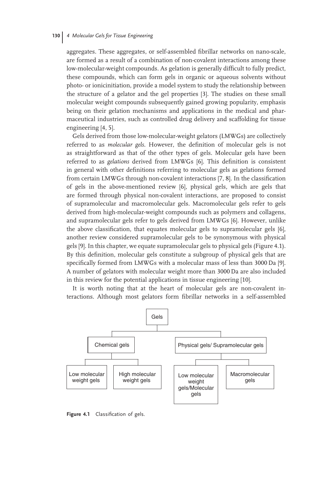aggregates. These aggregates, or self-assembled fibrillar networks on nano-scale, are formed as a result of a combination of non-covalent interactions among these low-molecular-weight compounds. As gelation is generally difficult to fully predict, these compounds, which can form gels in organic or aqueous solvents without photo- or ionicinitiation, provide a model system to study the relationship between the structure of a gelator and the gel properties [3]. The studies on these small molecular weight compounds subsequently gained growing popularity, emphasis being on their gelation mechanisms and applications in the medical and pharmaceutical industries, such as controlled drug delivery and scaffolding for tissue engineering [4, 5].

Gels derived from those low-molecular-weight gelators (LMWGs) are collectively referred to as *molecular gels*. However, the definition of molecular gels is not as straightforward as that of the other types of gels. Molecular gels have been referred to as *gelations* derived from LMWGs [6]. This definition is consistent in general with other definitions referring to molecular gels as gelations formed from certain LMWGs through non-covalent interactions [7, 8]. In the classification of gels in the above-mentioned review [6], physical gels, which are gels that are formed through physical non-covalent interactions, are proposed to consist of supramolecular and macromolecular gels. Macromolecular gels refer to gels derived from high-molecular-weight compounds such as polymers and collagens, and supramolecular gels refer to gels derived from LMWGs [6]. However, unlike the above classification, that equates molecular gels to supramolecular gels [6], another review considered supramolecular gels to be synonymous with physical gels [9]. In this chapter, we equate supramolecular gels to physical gels (Figure 4.1). By this definition, molecular gels constitute a subgroup of physical gels that are specifically formed from LMWGs with a molecular mass of less than 3000 Da [9]. A number of gelators with molecular weight more than 3000 Da are also included in this review for the potential applications in tissue engineering [10].

It is worth noting that at the heart of molecular gels are non-covalent interactions. Although most gelators form fibrillar networks in a self-assembled



**Figure 4.1** Classification of gels.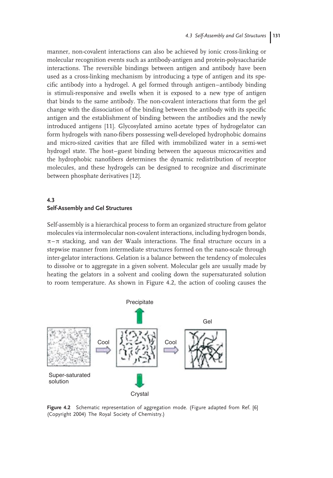manner, non-covalent interactions can also be achieved by ionic cross-linking or molecular recognition events such as antibody-antigen and protein-polysaccharide interactions. The reversible bindings between antigen and antibody have been used as a cross-linking mechanism by introducing a type of antigen and its specific antibody into a hydrogel. A gel formed through antigen–antibody binding is stimuli-responsive and swells when it is exposed to a new type of antigen that binds to the same antibody. The non-covalent interactions that form the gel change with the dissociation of the binding between the antibody with its specific antigen and the establishment of binding between the antibodies and the newly introduced antigens [11]. Glycosylated amino acetate types of hydrogelator can form hydrogels with nano-fibers possessing well-developed hydrophobic domains and micro-sized cavities that are filled with immobilized water in a semi-wet hydrogel state. The host–guest binding between the aqueous microcavities and the hydrophobic nanofibers determines the dynamic redistribution of receptor molecules, and these hydrogels can be designed to recognize and discriminate between phosphate derivatives [12].

## **4.3 Self-Assembly and Gel Structures**

Self-assembly is a hierarchical process to form an organized structure from gelator molecules via intermolecular non-covalent interactions, including hydrogen bonds,  $\pi-\pi$  stacking, and van der Waals interactions. The final structure occurs in a stepwise manner from intermediate structures formed on the nano-scale through inter-gelator interactions. Gelation is a balance between the tendency of molecules to dissolve or to aggregate in a given solvent. Molecular gels are usually made by heating the gelators in a solvent and cooling down the supersaturated solution to room temperature. As shown in Figure 4.2, the action of cooling causes the



**Figure 4.2** Schematic representation of aggregation mode. (Figure adapted from Ref. [6] (Copyright 2004) The Royal Society of Chemistry.)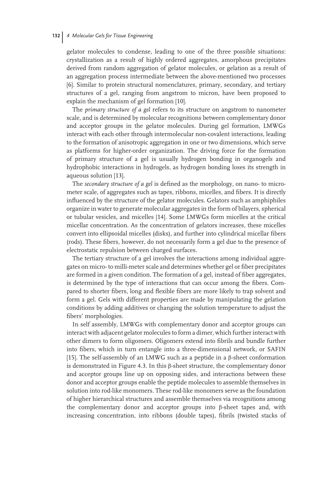gelator molecules to condense, leading to one of the three possible situations: crystallization as a result of highly ordered aggregates, amorphous precipitates derived from random aggregation of gelator molecules, or gelation as a result of an aggregation process intermediate between the above-mentioned two processes [6]. Similar to protein structural nomenclatures, primary, secondary, and tertiary structures of a gel, ranging from angstrom to micron, have been proposed to explain the mechanism of gel formation [10].

The *primary structure of a gel* refers to its structure on angstrom to nanometer scale, and is determined by molecular recognitions between complementary donor and acceptor groups in the gelator molecules. During gel formation, LMWGs interact with each other through intermolecular non-covalent interactions, leading to the formation of anisotropic aggregation in one or two dimensions, which serve as platforms for higher-order organization. The driving force for the formation of primary structure of a gel is usually hydrogen bonding in organogels and hydrophobic interactions in hydrogels, as hydrogen bonding loses its strength in aqueous solution [13].

The *secondary structure of a gel* is defined as the morphology, on nano- to micrometer scale, of aggregates such as tapes, ribbons, micelles, and fibers. It is directly influenced by the structure of the gelator molecules. Gelators such as amphiphiles organize in water to generate molecular aggregates in the form of bilayers, spherical or tubular vesicles, and micelles [14]. Some LMWGs form micelles at the critical micellar concentration. As the concentration of gelators increases, these micelles convert into ellipsoidal micelles (disks), and further into cylindrical micellar fibers (rods). These fibers, however, do not necessarily form a gel due to the presence of electrostatic repulsion between charged surfaces.

The tertiary structure of a gel involves the interactions among individual aggregates on micro- to milli-meter scale and determines whether gel or fiber precipitates are formed in a given condition. The formation of a gel, instead of fiber aggregates, is determined by the type of interactions that can occur among the fibers. Compared to shorter fibers, long and flexible fibers are more likely to trap solvent and form a gel. Gels with different properties are made by manipulating the gelation conditions by adding additives or changing the solution temperature to adjust the fibers' morphologies.

In self assembly, LMWGs with complementary donor and acceptor groups can interact with adjacent gelator molecules to form a dimer, which further interact with other dimers to form oligomers. Oligomers extend into fibrils and bundle further into fibers, which in turn entangle into a three-dimensional network, or SAFIN [15]. The self-assembly of an LMWG such as a peptide in a β-sheet conformation is demonstrated in Figure 4.3. In this β-sheet structure, the complementary donor and acceptor groups line up on opposing sides, and interactions between these donor and acceptor groups enable the peptide molecules to assemble themselves in solution into rod-like monomers. These rod-like monomers serve as the foundation of higher hierarchical structures and assemble themselves via recognitions among the complementary donor and acceptor groups into β-sheet tapes and, with increasing concentration, into ribbons (double tapes), fibrils (twisted stacks of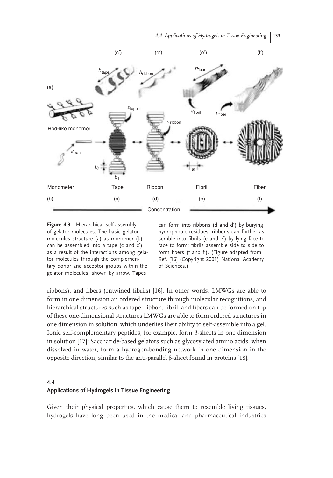

**Figure 4.3** Hierarchical self-assembly of gelator molecules. The basic gelator molecules structure (a) as monomer (b) can be assembled into a tape (c and  $c^{\prime})$ as a result of the interactions among gelator molecules through the complementary donor and acceptor groups within the gelator molecules, shown by arrow. Tapes

can form into ribbons (d and d') by burying hydrophobic residues; ribbons can further assemble into fibrils (e and e') by lying face to face to form; fibrils assemble side to side to form fibers (f and  $f$ ). (Figure adapted from Ref. [16] (Copyright 2001) National Academy of Sciences.)

ribbons), and fibers (entwined fibrils) [16]. In other words, LMWGs are able to form in one dimension an ordered structure through molecular recognitions, and hierarchical structures such as tape, ribbon, fibril, and fibers can be formed on top of these one-dimensional structures LMWGs are able to form ordered structures in one dimension in solution, which underlies their ability to self-assemble into a gel. Ionic self-complementary peptides, for example, form β-sheets in one dimension in solution [17]; Saccharide-based gelators such as glycosylated amino acids, when dissolved in water, form a hydrogen-bonding network in one dimension in the opposite direction, similar to the anti-parallel β-sheet found in proteins [18].

## **4.4 Applications of Hydrogels in Tissue Engineering**

Given their physical properties, which cause them to resemble living tissues, hydrogels have long been used in the medical and pharmaceutical industries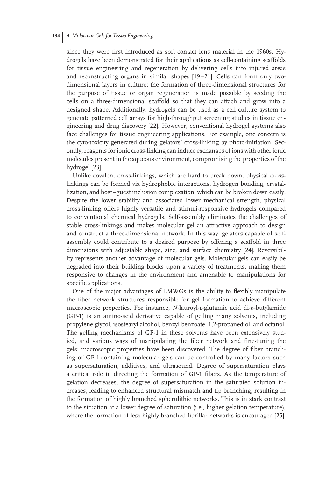since they were first introduced as soft contact lens material in the 1960s. Hydrogels have been demonstrated for their applications as cell-containing scaffolds for tissue engineering and regeneration by delivering cells into injured areas and reconstructing organs in similar shapes [19–21]. Cells can form only twodimensional layers in culture; the formation of three-dimensional structures for the purpose of tissue or organ regeneration is made possible by seeding the cells on a three-dimensional scaffold so that they can attach and grow into a designed shape. Additionally, hydrogels can be used as a cell culture system to generate patterned cell arrays for high-throughput screening studies in tissue engineering and drug discovery [22]. However, conventional hydrogel systems also face challenges for tissue engineering applications. For example, one concern is the cyto-toxicity generated during gelators' cross-linking by photo-initiation. Secondly, reagents for ionic cross-linking can induce exchanges of ions with other ionic molecules present in the aqueous environment, compromising the properties of the hydrogel [23].

Unlike covalent cross-linkings, which are hard to break down, physical crosslinkings can be formed via hydrophobic interactions, hydrogen bonding, crystallization, and host–guest inclusion complexation, which can be broken down easily. Despite the lower stability and associated lower mechanical strength, physical cross-linking offers highly versatile and stimuli-responsive hydrogels compared to conventional chemical hydrogels. Self-assembly eliminates the challenges of stable cross-linkings and makes molecular gel an attractive approach to design and construct a three-dimensional network. In this way, gelators capable of selfassembly could contribute to a desired purpose by offering a scaffold in three dimensions with adjustable shape, size, and surface chemistry [24]. Reversibility represents another advantage of molecular gels. Molecular gels can easily be degraded into their building blocks upon a variety of treatments, making them responsive to changes in the environment and amenable to manipulations for specific applications.

One of the major advantages of LMWGs is the ability to flexibly manipulate the fiber network structures responsible for gel formation to achieve different macroscopic properties. For instance, *N*-lauroyl-l-glutamic acid di-*n*-butylamide (GP-1) is an amino-acid derivative capable of gelling many solvents, including propylene glycol, isostearyl alcohol, benzyl benzoate, 1,2-propanediol, and octanol. The gelling mechanisms of GP-1 in these solvents have been extensively studied, and various ways of manipulating the fiber network and fine-tuning the gels' macroscopic properties have been discovered. The degree of fiber branching of GP-1-containing molecular gels can be controlled by many factors such as supersaturation, additives, and ultrasound. Degree of supersaturation plays a critical role in directing the formation of GP-1 fibers. As the temperature of gelation decreases, the degree of supersaturation in the saturated solution increases, leading to enhanced structural mismatch and tip branching, resulting in the formation of highly branched spherulithic networks. This is in stark contrast to the situation at a lower degree of saturation (i.e., higher gelation temperature), where the formation of less highly branched fibrillar networks is encouraged [25].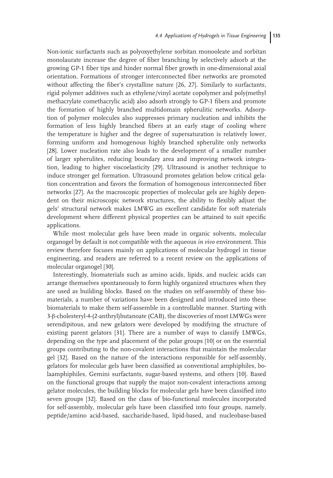Non-ionic surfactants such as polyoxyethylene sorbitan monooleate and sorbitan monolaurate increase the degree of fiber branching by selectively adsorb at the growing GP-1 fiber tips and hinder normal fiber growth in one-dimensional axial orientation. Formations of stronger interconnected fiber networks are promoted without affecting the fiber's crystalline nature [26, 27]. Similarly to surfactants, rigid polymer additives such as ethylene/vinyl acetate copolymer and poly(methyl methacrylate comethacrylic acid) also adsorb strongly to GP-1 fibers and promote the formation of highly branched multidomain spherulitic networks. Adsorption of polymer molecules also suppresses primary nucleation and inhibits the formation of less highly branched fibers at an early stage of cooling where the temperature is higher and the degree of supersaturation is relatively lower, forming uniform and homogenous highly branched spherulite only networks [28]. Lower nucleation rate also leads to the development of a smaller number of larger spherulites, reducing boundary area and improving network integration, leading to higher viscoelasticity [29]. Ultrasound is another technique to induce stronger gel formation. Ultrasound promotes gelation below critical gelation concentration and favors the formation of homogenous interconnected fiber networks [27]. As the macroscopic properties of molecular gels are highly dependent on their microscopic network structures, the ability to flexibly adjust the gels' structural network makes LMWG an excellent candidate for soft materials development where different physical properties can be attained to suit specific applications.

While most molecular gels have been made in organic solvents, molecular organogel by default is not compatible with the aqueous *in vivo* environment. This review therefore focuses mainly on applications of molecular hydrogel in tissue engineering, and readers are referred to a recent review on the applications of molecular organogel [30].

Interestingly, biomaterials such as amino acids, lipids, and nucleic acids can arrange themselves spontaneously to form highly organized structures when they are used as building blocks. Based on the studies on self-assembly of these biomaterials, a number of variations have been designed and introduced into these biomaterials to make them self-assemble in a controllable manner. Starting with 3-β-cholesteryl-4-(2-anthryl)butanoate (CAB), the discoveries of most LMWGs were serendipitous, and new gelators were developed by modifying the structure of existing parent gelators [31]. There are a number of ways to classify LMWGs, depending on the type and placement of the polar groups [10] or on the essential groups contributing to the non-covalent interactions that maintain the molecular gel [32]. Based on the nature of the interactions responsible for self-assembly, gelators for molecular gels have been classified as conventional amphiphiles, bolaamphiphiles, Gemini surfactants, sugar-based systems, and others [10]. Based on the functional groups that supply the major non-covalent interactions among gelator molecules, the building blocks for molecular gels have been classified into seven groups [32]. Based on the class of bio-functional molecules incorporated for self-assembly, molecular gels have been classified into four groups, namely, peptide/amino acid-based, saccharide-based, lipid-based, and nucleobase-based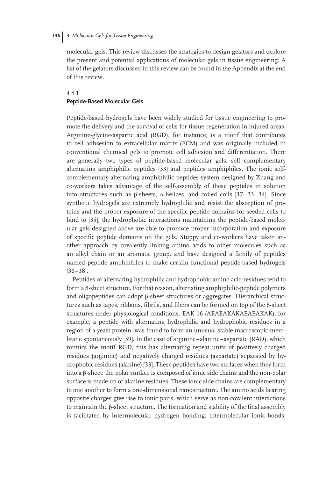molecular gels. This review discusses the strategies to design gelators and explore the present and potential applications of molecular gels in tissue engineering. A list of the gelators discussed in this review can be found in the Appendix at the end of this review.

## 4.4.1 **Peptide-Based Molecular Gels**

Peptide-based hydrogels have been widely studied for tissue engineering to promote the delivery and the survival of cells for tissue regeneration in injured areas. Arginine-glycine-aspartic acid (RGD), for instance, is a motif that contributes to cell adhsesion to extracellular matrix (ECM) and was originally included in conventional chemical gels to promote cell adhesion and differentiation. There are generally two types of peptide-based molecular gels: self complementary alternating amphiphilic peptides [33] and peptides amphiphiles. The ionic selfcomplementary alternating amphiphilic peptides system designed by Zhang and co-workers takes advantage of the self-assembly of these peptides in solution into structures such as β-sheets, α-helices, and coiled coils [17, 33, 34]. Since synthetic hydrogels are extremely hydrophilic and resist the absorption of proteins and the proper exposure of the specific peptide domains for seeded cells to bind to [35], the hydrophobic interactions maintaining the peptide-based molecular gels designed above are able to promote proper incorporation and exposure of specific peptide domains on the gels. Stuppy and co-workers have taken another approach by covalently linking amino acids to other molecules such as an alkyl chain or an aromatic group, and have designed a family of peptides named peptide amphiphiles to make certain functional peptide-based hydrogels [36–38].

Peptides of alternating hydrophilic and hydrophobic amino acid residues tend to form a β-sheet structure. For that reason, alternating amphiphilic-peptide polymers and oligopeptides can adopt β-sheet structures or aggregates. Hierarchical structures such as tapes, ribbons, fibrils, and fibers can be formed on top of the β-sheet structures under physiological conditions. EAK 16 (AEAEAKAKAEAEAKAK), for example, a peptide with alternating hydrophilic and hydrophobic residues in a region of a yeast protein, was found to form an unusual stable macroscopic membrane spontaneously [39]. In the case of arginine–alanine–aspartate (RAD), which mimics the motif RGD, this has alternating repeat units of positively charged residues (arginine) and negatively charged residues (aspartate) separated by hydrophobic residues (alanine) [33]. These peptides have two surfaces when they form into a β-sheet: the polar surface is composed of ionic side chains and the non-polar surface is made up of alanine residues. These ionic side chains are complementary to one another to form a one-dimensional nanostructure. The amino acids bearing opposite charges give rise to ionic pairs, which serve as non-covalent interactions to maintain the β-sheet structure. The formation and stability of the final assembly is facilitated by intermolecular hydrogen bonding, intermolecular ionic bonds,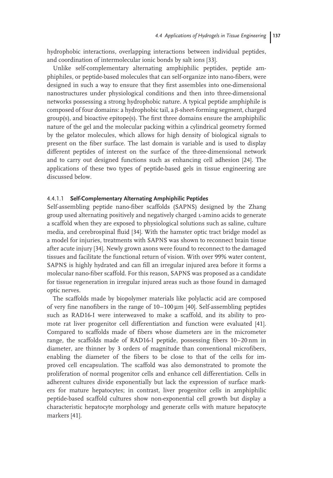hydrophobic interactions, overlapping interactions between individual peptides, and coordination of intermolecular ionic bonds by salt ions [33].

Unlike self-complementary alternating amphiphilic peptides, peptide amphiphiles, or peptide-based molecules that can self-organize into nano-fibers, were designed in such a way to ensure that they first assembles into one-dimensional nanostructures under physiological conditions and then into three-dimensional networks possessing a strong hydrophobic nature. A typical peptide amphiphile is composed of four domains: a hydrophobic tail, a β-sheet-forming segment, charged group(s), and bioactive epitope(s). The first three domains ensure the amphiphilic nature of the gel and the molecular packing within a cylindrical geometry formed by the gelator molecules, which allows for high density of biological signals to present on the fiber surface. The last domain is variable and is used to display different peptides of interest on the surface of the three-dimensional network and to carry out designed functions such as enhancing cell adhesion [24]. The applications of these two types of peptide-based gels in tissue engineering are discussed below.

#### 4.4.1.1 **Self-Complementary Alternating Amphiphilic Peptides**

Self-assembling peptide nano-fiber scaffolds (SAPNS) designed by the Zhang group used alternating positively and negatively charged l-amino acids to generate a scaffold when they are exposed to physiological solutions such as saline, culture media, and cerebrospinal fluid [34]. With the hamster optic tract bridge model as a model for injuries, treatments with SAPNS was shown to reconnect brain tissue after acute injury [34]. Newly grown axons were found to reconnect to the damaged tissues and facilitate the functional return of vision. With over 99% water content, SAPNS is highly hydrated and can fill an irregular injured area before it forms a molecular nano-fiber scaffold. For this reason, SAPNS was proposed as a candidate for tissue regeneration in irregular injured areas such as those found in damaged optic nerves.

The scaffolds made by biopolymer materials like polylactic acid are composed of very fine nanofibers in the range of 10–100 μm [40]. Self-assembling peptides such as RAD16-I were interweaved to make a scaffold, and its ability to promote rat liver progenitor cell differentiation and function were evaluated [41]. Compared to scaffolds made of fibers whose diameters are in the micrometer range, the scaffolds made of RAD16-I peptide, possessing fibers 10–20 nm in diameter, are thinner by 3 orders of magnitude than conventional microfibers, enabling the diameter of the fibers to be close to that of the cells for improved cell encapsulation. The scaffold was also demonstrated to promote the proliferation of normal progenitor cells and enhance cell differentiation. Cells in adherent cultures divide exponentially but lack the expression of surface markers for mature hepatocytes; in contrast, liver progenitor cells in amphiphilic peptide-based scaffold cultures show non-exponential cell growth but display a characteristic hepatocyte morphology and generate cells with mature hepatocyte markers [41].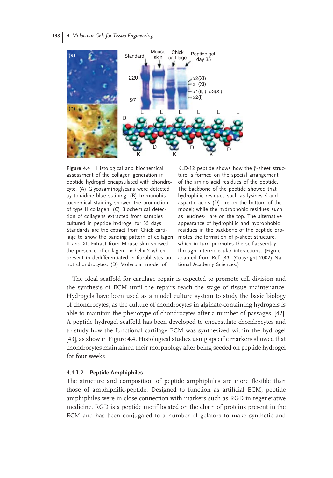

**Figure 4.4** Histological and biochemical assessment of the collagen generation in peptide hydrogel encapsulated with chondrocyte. (A) Glycosaminoglycans were detected by toluidine blue staining. (B) Immunohistochemical staining showed the production of type II collagen. (C) Biochemical detection of collagens extracted from samples cultured in peptide hydrogel for 35 days. Standards are the extract from Chick cartilage to show the banding pattern of collagen II and XI. Extract from Mouse skin showed the presence of collagen I α-helix 2 which present in dedifferentiated in fibroblastes but not chondrocytes. (D) Molecular model of

KLD-12 peptide shows how the β-sheet structure is formed on the special arrangement of the amino acid residues of the peptide. The backbone of the peptide showed that hydrophilic residues such as lysines-K and aspartic acids (D) are on the bottom of the model; while the hydrophobic residues such as leucines-L are on the top. The alternative appearance of hydrophilic and hydrophobic residues in the backbone of the peptide promotes the formation of β-sheet structure, which in turn promotes the self-assembly through intermolecular interactions. (Figure adapted from Ref. [43] (Copyright 2002) National Academy Sciences.)

The ideal scaffold for cartilage repair is expected to promote cell division and the synthesis of ECM until the repairs reach the stage of tissue maintenance. Hydrogels have been used as a model culture system to study the basic biology of chondrocytes, as the culture of chondrocytes in alginate-containing hydrogels is able to maintain the phenotype of chondrocytes after a number of passages. [42]. A peptide hydrogel scaffold has been developed to encapsulate chondrocytes and to study how the functional cartilage ECM was synthesized within the hydrogel [43], as show in Figure 4.4. Histological studies using specific markers showed that chondrocytes maintained their morphology after being seeded on peptide hydrogel for four weeks.

#### 4.4.1.2 **Peptide Amphiphiles**

The structure and composition of peptide amphiphiles are more flexible than those of amphiphilic-peptide. Designed to function as artificial ECM, peptide amphiphiles were in close connection with markers such as RGD in regenerative medicine. RGD is a peptide motif located on the chain of proteins present in the ECM and has been conjugated to a number of gelators to make synthetic and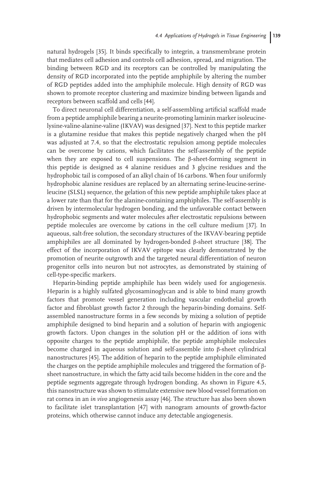natural hydrogels [35]. It binds specifically to integrin, a transmembrane protein that mediates cell adhesion and controls cell adhesion, spread, and migration. The binding between RGD and its receptors can be controlled by manipulating the density of RGD incorporated into the peptide amphiphile by altering the number of RGD peptides added into the amphiphile molecule. High density of RGD was shown to promote receptor clustering and maximize binding between ligands and receptors between scaffold and cells [44].

To direct neuronal cell differentiation, a self-assembling artificial scaffold made from a peptide amphiphile bearing a neurite-promoting laminin marker isoleucinelysine-valine-alanine-valine (IKVAV) was designed [37]. Next to this peptide marker is a glutamine residue that makes this peptide negatively charged when the pH was adjusted at 7.4, so that the electrostatic repulsion among peptide molecules can be overcome by cations, which facilitates the self-assembly of the peptide when they are exposed to cell suspensions. The β-sheet-forming segment in this peptide is designed as 4 alanine residues and 3 glycine residues and the hydrophobic tail is composed of an alkyl chain of 16 carbons. When four uniformly hydrophobic alanine residues are replaced by an alternating serine-leucine-serineleucine (SLSL) sequence, the gelation of this new peptide amphiphile takes place at a lower rate than that for the alanine-containing amphiphiles. The self-assembly is driven by intermolecular hydrogen bonding, and the unfavorable contact between hydrophobic segments and water molecules after electrostatic repulsions between peptide molecules are overcome by cations in the cell culture medium [37]. In aqueous, salt-free solution, the secondary structures of the IKVAV-bearing peptide amphiphiles are all dominated by hydrogen-bonded β-sheet structure [38]. The effect of the incorporation of IKVAV epitope was clearly demonstrated by the promotion of neurite outgrowth and the targeted neural differentiation of neuron progenitor cells into neuron but not astrocytes, as demonstrated by staining of cell-type-specific markers.

Heparin-binding peptide amphiphile has been widely used for angiogenesis. Heparin is a highly sulfated glycosaminoglycan and is able to bind many growth factors that promote vessel generation including vascular endothelial growth factor and fibroblast growth factor 2 through the heparin-binding domains. Selfassembled nanostructure forms in a few seconds by mixing a solution of peptide amphiphile designed to bind heparin and a solution of heparin with angiogenic growth factors. Upon changes in the solution pH or the addition of ions with opposite charges to the peptide amphiphile, the peptide amphiphile molecules become charged in aqueous solution and self-assemble into β-sheet cylindrical nanostructures [45]. The addition of heparin to the peptide amphiphile eliminated the charges on the peptide amphiphile molecules and triggered the formation of βsheet nanostructure, in which the fatty acid tails become hidden in the core and the peptide segments aggregate through hydrogen bonding. As shown in Figure 4.5, this nanostructure was shown to stimulate extensive new blood vessel formation on rat cornea in an *in vivo* angiogenesis assay [46]. The structure has also been shown to facilitate islet transplantation [47] with nanogram amounts of growth-factor proteins, which otherwise cannot induce any detectable angiogenesis.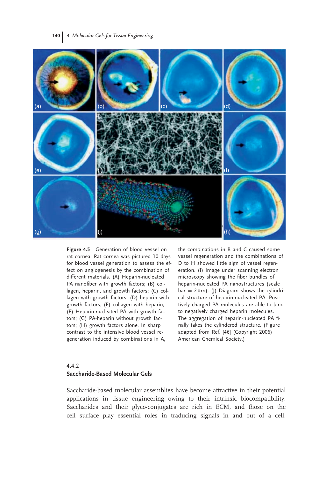

**Figure 4.5** Generation of blood vessel on rat cornea. Rat cornea was pictured 10 days for blood vessel generation to assess the effect on angiogenesis by the combination of different materials. (A) Heparin-nucleated PA nanofiber with growth factors; (B) collagen, heparin, and growth factors; (C) collagen with growth factors; (D) heparin with growth factors; (E) collagen with heparin; (F) Heparin-nucleated PA with growth factors; (G) PA-heparin without growth factors; (H) growth factors alone. In sharp contrast to the intensive blood vessel regeneration induced by combinations in A,

the combinations in B and C caused some vessel regeneration and the combinations of D to H showed little sign of vessel regeneration. (I) Image under scanning electron microscopy showing the fiber bundles of heparin-nucleated PA nanostructures (scale  $bar = 2 \mu m$ ). (J) Diagram shows the cylindrical structure of heparin-nucleated PA. Positively charged PA molecules are able to bind to negatively charged heparin molecules. The aggregation of heparin-nucleated PA finally takes the cylindered structure. (Figure adapted from Ref. [46] (Copyright 2006) American Chemical Society.)

# 4.4.2 **Saccharide-Based Molecular Gels**

Saccharide-based molecular assemblies have become attractive in their potential applications in tissue engineering owing to their intrinsic biocompatibility. Saccharides and their glyco-conjugates are rich in ECM, and those on the cell surface play essential roles in traducing signals in and out of a cell.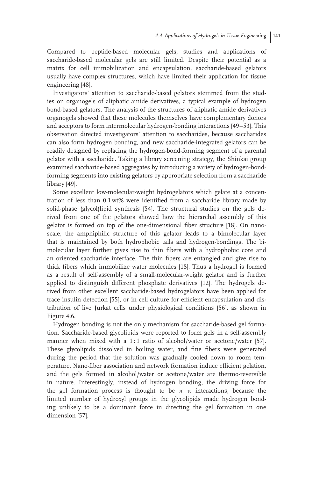Compared to peptide-based molecular gels, studies and applications of saccharide-based molecular gels are still limited. Despite their potential as a matrix for cell immobilization and encapsulation, saccharide-based gelators usually have complex structures, which have limited their application for tissue engineering [48].

Investigators' attention to saccharide-based gelators stemmed from the studies on organogels of aliphatic amide derivatives, a typical example of hydrogen bond-based gelators. The analysis of the structures of aliphatic amide derivatives organogels showed that these molecules themselves have complementary donors and acceptors to form intermolecular hydrogen-bonding interactions [49–53]. This observation directed investigators' attention to saccharides, because saccharides can also form hydrogen bonding, and new saccharide-integrated gelators can be readily designed by replacing the hydrogen-bond-forming segment of a parental gelator with a saccharide. Taking a library screening strategy, the Shinkai group examined saccharide-based aggregates by introducing a variety of hydrogen-bondforming segments into existing gelators by appropriate selection from a saccharide library [49].

Some excellent low-molecular-weight hydrogelators which gelate at a concentration of less than 0.1 wt% were identified from a saccharide library made by solid-phase (glycol)lipid synthesis [54]. The structural studies on the gels derived from one of the gelators showed how the hierarchal assembly of this gelator is formed on top of the one-dimensional fiber structure [18]. On nanoscale, the amphiphilic structure of this gelator leads to a bimolecular layer that is maintained by both hydrophobic tails and hydrogen-bondings. The bimolecular layer further gives rise to thin fibers with a hydrophobic core and an oriented saccharide interface. The thin fibers are entangled and give rise to thick fibers which immobilize water molecules [18]. Thus a hydrogel is formed as a result of self-assembly of a small-molecular-weight gelator and is further applied to distinguish different phosphate derivatives [12]. The hydrogels derived from other excellent saccharide-based hydrogelators have been applied for trace insulin detection [55], or in cell culture for efficient encapsulation and distribution of live Jurkat cells under physiological conditions [56], as shown in Figure 4.6.

Hydrogen bonding is not the only mechanism for saccharide-based gel formation. Saccharide-based glycolipids were reported to form gels in a self-assembly manner when mixed with a 1:1 ratio of alcohol/water or acetone/water [57]. These glycolipids dissolved in boiling water, and fine fibers were generated during the period that the solution was gradually cooled down to room temperature. Nano-fiber association and network formation induce efficient gelation, and the gels formed in alcohol/water or acetone/water are thermo-reversible in nature. Interestingly, instead of hydrogen bonding, the driving force for the gel formation process is thought to be  $\pi-\pi$  interactions, because the limited number of hydroxyl groups in the glycolipids made hydrogen bonding unlikely to be a dominant force in directing the gel formation in one dimension [57].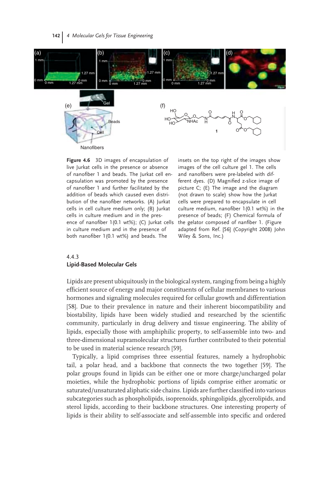

**Figure 4.6** 3D images of encapsulation of live Jurkat cells in the presence or absence of nanofiber 1 and beads. The Jurkat cell encapsulation was promoted by the presence of nanofiber 1 and further facilitated by the addition of beads which caused even distribution of the nanofiber networks. (A) Jurkat cells in cell culture medium only; (B) Jurkat cells in culture medium and in the presence of nanofiber 1(0.1 wt%); (C) Jurkat cells in culture medium and in the presence of both nanofiber 1(0.1 wt%) and beads. The

insets on the top right of the images show images of the cell culture gel 1. The cells and nanofibers were pre-labeled with different dyes. (D) Magnified z-slice image of picture C; (E) The image and the diagram (not drawn to scale) show how the Jurkat cells were prepared to encapsulate in cell culture medium, nanofiber 1(0.1 wt%) in the presence of beads; (F) Chemical formula of the gelator composed of nanfiber 1. (Figure adapted from Ref. [56] (Copyright 2008) John Wiley & Sons, Inc.)

#### 4.4.3

#### **Lipid-Based Molecular Gels**

Lipids are present ubiquitously in the biological system, ranging from being a highly efficient source of energy and major constituents of cellular membranes to various hormones and signaling molecules required for cellular growth and differentiation [58]. Due to their prevalence in nature and their inherent biocompatibility and biostability, lipids have been widely studied and researched by the scientific community, particularly in drug delivery and tissue engineering. The ability of lipids, especially those with amphiphilic property, to self-assemble into two- and three-dimensional supramolecular structures further contributed to their potential to be used in material science research [59].

Typically, a lipid comprises three essential features, namely a hydrophobic tail, a polar head, and a backbone that connects the two together [59]. The polar groups found in lipids can be either one or more charge/uncharged polar moieties, while the hydrophobic portions of lipids comprise either aromatic or saturated/unsaturated aliphatic side chains. Lipids are further classified into various subcategories such as phospholipids, isoprenoids, sphingolipids, glycerolipids, and sterol lipids, according to their backbone structures. One interesting property of lipids is their ability to self-associate and self-assemble into specific and ordered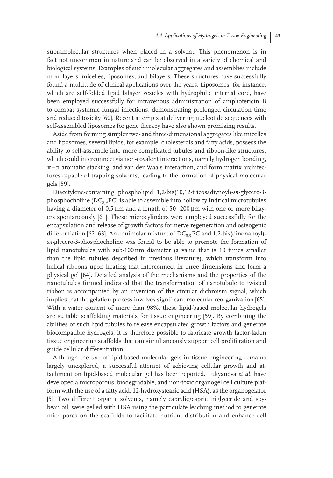supramolecular structures when placed in a solvent. This phenomenon is in fact not uncommon in nature and can be observed in a variety of chemical and biological systems. Examples of such molecular aggregates and assemblies include monolayers, micelles, liposomes, and bilayers. These structures have successfully found a multitude of clinical applications over the years. Liposomes, for instance, which are self-folded lipid bilayer vesicles with hydrophilic internal core, have been employed successfully for intravenous administration of amphotericin B to combat systemic fungal infections, demonstrating prolonged circulation time and reduced toxicity [60]. Recent attempts at delivering nucleotide sequences with self-assembled liposomes for gene therapy have also shown promising results.

Aside from forming simpler two- and three-dimensional aggregates like micelles and liposomes, several lipids, for example, cholesterols and fatty acids, possess the ability to self-assemble into more complicated tubules and ribbon-like structures, which could interconnect via non-covalent interactions, namely hydrogen bonding,  $\pi-\pi$  aromatic stacking, and van der Waals interaction, and form matrix architectures capable of trapping solvents, leading to the formation of physical molecular gels [59].

Diacetylene-containing phospholipid 1,2-bis(10,12-tricosadiynoyl)-*sn*-glycero-3 phosphocholine ( $DC_{8,9}PC$ ) is able to assemble into hollow cylindrical microtubules having a diameter of 0.5 μm and a length of 50–200 μm with one or more bilayers spontaneously [61]. These microcylinders were employed successfully for the encapsulation and release of growth factors for nerve regeneration and osteogenic differentiation [62, 63]. An equimolar mixture of  $DC_{8,9}PC$  and 1,2-bis(dinonanoyl)*sn*-glycero-3-phosphocholine was found to be able to promote the formation of lipid nanotubules with sub-100 nm diameter (a value that is 10 times smaller than the lipid tubules described in previous literature), which transform into helical ribbons upon heating that interconnect in three dimensions and form a physical gel [64]. Detailed analysis of the mechanisms and the properties of the nanotubules formed indicated that the transformation of nanotubule to twisted ribbon is accompanied by an inversion of the circular dichroism signal, which implies that the gelation process involves significant molecular reorganization [65]. With a water content of more than 98%, these lipid-based molecular hydrogels are suitable scaffolding materials for tissue engineering [59]. By combining the abilities of such lipid tubules to release encapsulated growth factors and generate biocompatible hydrogels, it is therefore possible to fabricate growth factor-laden tissue engineering scaffolds that can simultaneously support cell proliferation and guide cellular differentiation.

Although the use of lipid-based molecular gels in tissue engineering remains largely unexplored, a successful attempt of achieving cellular growth and attachment on lipid-based molecular gel has been reported. Lukyanova *et al*. have developed a microporous, biodegradable, and non-toxic organogel cell culture platform with the use of a fatty acid, 12-hydroxystearic acid (HSA), as the organogelator [5]. Two different organic solvents, namely caprylic/capric triglyceride and soybean oil, were gelled with HSA using the particulate leaching method to generate micropores on the scaffolds to facilitate nutrient distribution and enhance cell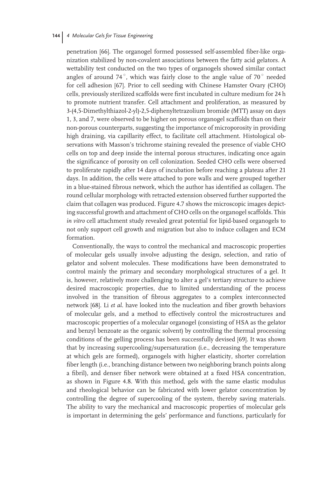penetration [66]. The organogel formed possessed self-assembled fiber-like organization stabilized by non-covalent associations between the fatty acid gelators. A wettability test conducted on the two types of organogels showed similar contact angles of around 74  $^\circ$ , which was fairly close to the angle value of 70  $^\circ$  needed for cell adhesion [67]. Prior to cell seeding with Chinese Hamster Ovary (CHO) cells, previously sterilized scaffolds were first incubated in culture medium for 24 h to promote nutrient transfer. Cell attachment and proliferation, as measured by 3-(4,5-Dimethylthiazol-2-yl)-2,5-diphenyltetrazolium bromide (MTT) assay on days 1, 3, and 7, were observed to be higher on porous organogel scaffolds than on their non-porous counterparts, suggesting the importance of microporosity in providing high draining, via capillarity effect, to facilitate cell attachment. Histological observations with Masson's trichrome staining revealed the presence of viable CHO cells on top and deep inside the internal porous structures, indicating once again the significance of porosity on cell colonization. Seeded CHO cells were observed to proliferate rapidly after 14 days of incubation before reaching a plateau after 21 days. In addition, the cells were attached to pore walls and were grouped together in a blue-stained fibrous network, which the author has identified as collagen. The round cellular morphology with retracted extension observed further supported the claim that collagen was produced. Figure 4.7 shows the microscopic images depicting successful growth and attachment of CHO cells on the organogel scaffolds. This *in vitro* cell attachment study revealed great potential for lipid-based organogels to not only support cell growth and migration but also to induce collagen and ECM formation.

Conventionally, the ways to control the mechanical and macroscopic properties of molecular gels usually involve adjusting the design, selection, and ratio of gelator and solvent molecules. These modifications have been demonstrated to control mainly the primary and secondary morphological structures of a gel. It is, however, relatively more challenging to alter a gel's tertiary structure to achieve desired macroscopic properties, due to limited understanding of the process involved in the transition of fibrous aggregates to a complex interconnected network [68]. Li *et al.* have looked into the nucleation and fiber growth behaviors of molecular gels, and a method to effectively control the microstructures and macroscopic properties of a molecular organogel (consisting of HSA as the gelator and benzyl benzoate as the organic solvent) by controlling the thermal processing conditions of the gelling process has been successfully devised [69]. It was shown that by increasing supercooling/supersaturation (i.e., decreasing the temperature at which gels are formed), organogels with higher elasticity, shorter correlation fiber length (i.e., branching distance between two neighboring branch points along a fibril), and denser fiber network were obtained at a fixed HSA concentration, as shown in Figure 4.8. With this method, gels with the same elastic modulus and rheological behavior can be fabricated with lower gelator concentration by controlling the degree of supercooling of the system, thereby saving materials. The ability to vary the mechanical and macroscopic properties of molecular gels is important in determining the gels' performance and functions, particularly for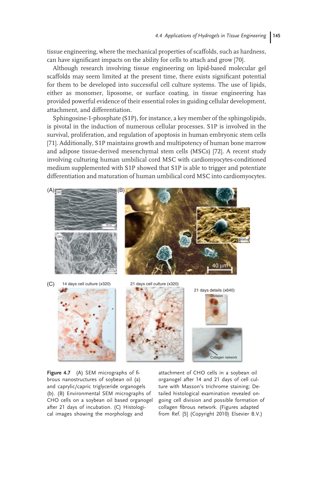tissue engineering, where the mechanical properties of scaffolds, such as hardness, can have significant impacts on the ability for cells to attach and grow [70].

Although research involving tissue engineering on lipid-based molecular gel scaffolds may seem limited at the present time, there exists significant potential for them to be developed into successful cell culture systems. The use of lipids, either as monomer, liposome, or surface coating, in tissue engineering has provided powerful evidence of their essential roles in guiding cellular development, attachment, and differentiation.

Sphingosine-1-phosphate (S1P), for instance, a key member of the sphingolipids, is pivotal in the induction of numerous cellular processes. S1P is involved in the survival, proliferation, and regulation of apoptosis in human embryonic stem cells [71]. Additionally, S1P maintains growth and multipotency of human bone marrow and adipose tissue-derived mesenchymal stem cells (MSCs) [72]. A recent study involving culturing human umbilical cord MSC with cardiomyocytes-conditioned medium supplemented with S1P showed that S1P is able to trigger and potentiate differentiation and maturation of human umbilical cord MSC into cardiomyocytes.



**Figure 4.7** (A) SEM micrographs of fibrous nanostructures of soybean oil (a) and caprylic/capric triglyceride organogels (b). (B) Environmental SEM micrographs of CHO cells on a soybean oil based organogel after 21 days of incubation. (C) Histological images showing the morphology and

attachment of CHO cells in a soybean oil organogel after 14 and 21 days of cell culture with Masson's trichrome staining; Detailed histological examination revealed ongoing cell division and possible formation of collagen fibrous network. (Figures adapted from Ref. [5] (Copyright 2010) Elsevier B.V.)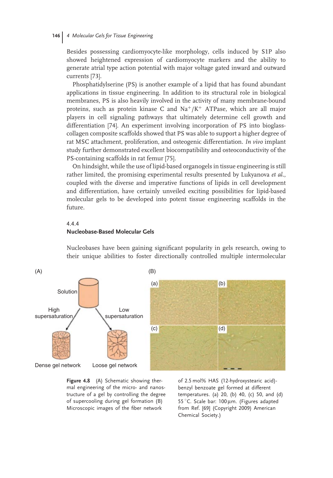Besides possessing cardiomyocyte-like morphology, cells induced by S1P also showed heightened expression of cardiomyocyte markers and the ability to generate atrial type action potential with major voltage gated inward and outward currents [73].

Phosphatidylserine (PS) is another example of a lipid that has found abundant applications in tissue engineering. In addition to its structural role in biological membranes, PS is also heavily involved in the activity of many membrane-bound proteins, such as protein kinase C and  $Na^{+}/K^{+}$  ATPase, which are all major players in cell signaling pathways that ultimately determine cell growth and differentiation [74]. An experiment involving incorporation of PS into bioglasscollagen composite scaffolds showed that PS was able to support a higher degree of rat MSC attachment, proliferation, and osteogenic differentiation. *In vivo* implant study further demonstrated excellent biocompatibility and osteoconductivity of the PS-containing scaffolds in rat femur [75].

On hindsight, while the use of lipid-based organogels in tissue engineering is still rather limited, the promising experimental results presented by Lukyanova *et al*., coupled with the diverse and imperative functions of lipids in cell development and differentiation, have certainly unveiled exciting possibilities for lipid-based molecular gels to be developed into potent tissue engineering scaffolds in the future.

# 4.4.4

## **Nucleobase-Based Molecular Gels**



Nucleobases have been gaining significant popularity in gels research, owing to their unique abilities to foster directionally controlled multiple intermolecular

**Figure 4.8** (A) Schematic showing thermal engineering of the micro- and nanostructure of a gel by controlling the degree of supercooling during gel formation (B) Microscopic images of the fiber network

of 2.5 mol% HAS (12-hydroxystearic acid) benzyl benzoate gel formed at different temperatures. (a) 20, (b) 40, (c) 50, and (d) 55 ◦ C. Scale bar: 100 μm. (Figures adapted from Ref. [69] (Copyright 2009) American Chemical Society.)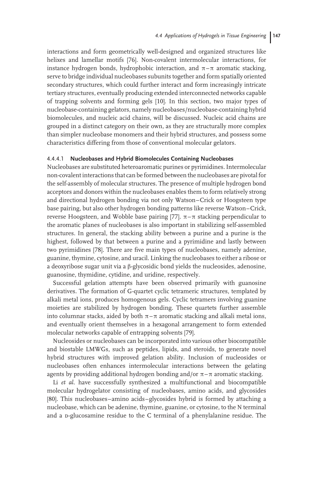interactions and form geometrically well-designed and organized structures like helixes and lamellar motifs [76]. Non-covalent intermolecular interactions, for instance hydrogen bonds, hydrophobic interaction, and  $\pi-\pi$  aromatic stacking, serve to bridge individual nucleobases subunits together and form spatially oriented secondary structures, which could further interact and form increasingly intricate tertiary structures, eventually producing extended interconnected networks capable of trapping solvents and forming gels [10]. In this section, two major types of nucleobase-containing gelators, namely nucleobases/nucleobase-containing hybrid biomolecules, and nucleic acid chains, will be discussed. Nucleic acid chains are grouped in a distinct category on their own, as they are structurally more complex than simpler nucleobase monomers and their hybrid structures, and possess some characteristics differing from those of conventional molecular gelators.

#### 4.4.4.1 **Nucleobases and Hybrid Biomolecules Containing Nucleobases**

Nucleobases are substituted heteroaromatic purines or pyrimidines. Intermolecular non-covalent interactions that can be formed between the nucleobases are pivotal for the self-assembly of molecular structures. The presence of multiple hydrogen bond acceptors and donors within the nucleobases enables them to form relatively strong and directional hydrogen bonding via not only Watson–Crick or Hoogsteen type base pairing, but also other hydrogen bonding patterns like reverse Watson–Crick, reverse Hoogsteen, and Wobble base pairing [77].  $π - π$  stacking perpendicular to the aromatic planes of nucleobases is also important in stabilizing self-assembled structures. In general, the stacking ability between a purine and a purine is the highest, followed by that between a purine and a pyrimidine and lastly between two pyrimidines [78]. There are five main types of nucleobases, namely adenine, guanine, thymine, cytosine, and uracil. Linking the nucleobases to either a ribose or a deoxyribose sugar unit via a β-glycosidic bond yields the nucleosides, adenosine, guanosine, thymidine, cytidine, and uridine, respectively.

Successful gelation attempts have been observed primarily with guanosine derivatives. The formation of G-quartet cyclic tetrameric structures, templated by alkali metal ions, produces homogenous gels. Cyclic tetramers involving guanine moieties are stabilized by hydrogen bonding. These quartets further assemble into columnar stacks, aided by both  $\pi-\pi$  aromatic stacking and alkali metal ions, and eventually orient themselves in a hexagonal arrangement to form extended molecular networks capable of entrapping solvents [79].

Nucleosides or nucleobases can be incorporated into various other biocompatible and biostable LMWGs, such as peptides, lipids, and steroids, to generate novel hybrid structures with improved gelation ability. Inclusion of nucleosides or nucleobases often enhances intermolecular interactions between the gelating agents by providing additional hydrogen bonding and/or  $\pi - \pi$  aromatic stacking.

Li *et al*. have successfully synthesized a multifunctional and biocompatible molecular hydrogelator consisting of nucleobases, amino acids, and glycosides [80]. This nucleobases–amino acids–glycosides hybrid is formed by attaching a nucleobase, which can be adenine, thymine, guanine, or cytosine, to the N terminal and a p-glucosamine residue to the C terminal of a phenylalanine residue. The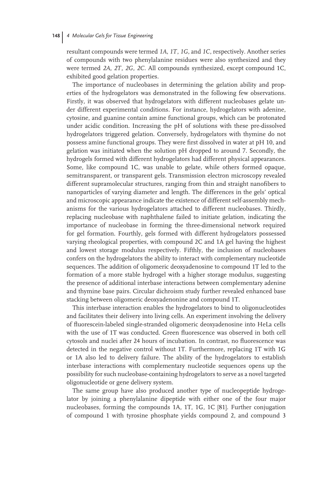resultant compounds were termed *1A*, *1T*, *1G*, and *1C*, respectively. Another series of compounds with two phenylalanine residues were also synthesized and they were termed *2A*, *2T*, *2G*, *2C*. All compounds synthesized, except compound 1C, exhibited good gelation properties.

The importance of nucleobases in determining the gelation ability and properties of the hydrogelators was demonstrated in the following few observations. Firstly, it was observed that hydrogelators with different nucleobases gelate under different experimental conditions. For instance, hydrogelators with adenine, cytosine, and guanine contain amine functional groups, which can be protonated under acidic condition. Increasing the pH of solutions with these pre-dissolved hydrogelators triggered gelation. Conversely, hydrogelators with thymine do not possess amine functional groups. They were first dissolved in water at pH 10, and gelation was initiated when the solution pH dropped to around 7. Secondly, the hydrogels formed with different hydrogelators had different physical appearances. Some, like compound 1C, was unable to gelate, while others formed opaque, semitransparent, or transparent gels. Transmission electron microscopy revealed different supramolecular structures, ranging from thin and straight nanofibers to nanoparticles of varying diameter and length. The differences in the gels' optical and microscopic appearance indicate the existence of different self-assembly mechanisms for the various hydrogelators attached to different nucleobases. Thirdly, replacing nucleobase with naphthalene failed to initiate gelation, indicating the importance of nucleobase in forming the three-dimensional network required for gel formation. Fourthly, gels formed with different hydrogelators possessed varying rheological properties, with compound 2C and 1A gel having the highest and lowest storage modulus respectively. Fifthly, the inclusion of nucleobases confers on the hydrogelators the ability to interact with complementary nucleotide sequences. The addition of oligomeric deoxyadenosine to compound 1T led to the formation of a more stable hydrogel with a higher storage modulus, suggesting the presence of additional interbase interactions between complementary adenine and thymine base pairs. Circular dichroism study further revealed enhanced base stacking between oligomeric deoxyadenonine and compound 1T.

This interbase interaction enables the hydrogelators to bind to oligonucleotides and facilitates their delivery into living cells. An experiment involving the delivery of fluorescein-labeled single-stranded oligomeric deoxyadenosine into HeLa cells with the use of 1T was conducted. Green fluorescence was observed in both cell cytosols and nuclei after 24 hours of incubation. In contrast, no fluorescence was detected in the negative control without 1T. Furthermore, replacing 1T with 1G or 1A also led to delivery failure. The ability of the hydrogelators to establish interbase interactions with complementary nucleotide sequences opens up the possibility for such nucleobase-containing hydrogelators to serve as a novel targeted oligonucleotide or gene delivery system.

The same group have also produced another type of nucleopeptide hydrogelator by joining a phenylalanine dipeptide with either one of the four major nucleobases, forming the compounds 1A, 1T, 1G, 1C [81]. Further conjugation of compound 1 with tyrosine phosphate yields compound 2, and compound 3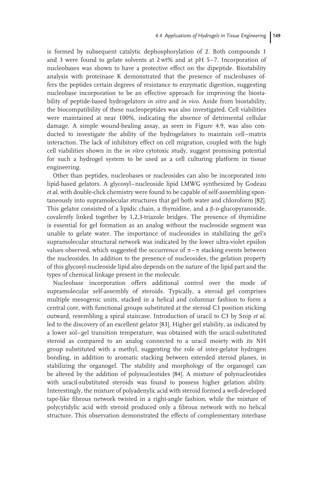is formed by subsequent catalytic dephosphorylation of 2. Both compounds 1 and 3 were found to gelate solvents at 2 wt% and at pH 5–7. Incorporation of nucleobases was shown to have a protective effect on the dipeptide. Biostability analysis with proteinase K demonstrated that the presence of nucleobases offers the peptides certain degrees of resistance to enzymatic digestion, suggesting nucleobase incorporation to be an effective approach for improving the biostability of peptide-based hydrogelators *in vitro* and *in vivo*. Aside from biostability, the biocompatibility of these nucleopeptides was also investigated. Cell viabilities were maintained at near 100%, indicating the absence of detrimental cellular damage. A simple wound-healing assay, as seen in Figure 4.9, was also conducted to investigate the ability of the hydrogelators to maintain cell–matrix interaction. The lack of inhibitory effect on cell migration, coupled with the high cell viabilities shown in the *in vitro* cytotoxic study, suggest promising potential for such a hydrogel system to be used as a cell culturing platform in tissue engineering.

Other than peptides, nucleobases or nucleosides can also be incorporated into lipid-based gelators. A glycosyl–nucleoside lipid LMWG synthesized by Godeau *et al*. with double-click chemistry were found to be capable of self-assembling spontaneously into supramolecular structures that gel both water and chloroform [82]. This gelator consisted of a lipidic chain, a thymidine, and a  $\beta$ -D-glucopyranoside, covalently linked together by 1,2,3-triazole bridges. The presence of thymidine is essential for gel formation as an analog without the nucleoside segment was unable to gelate water. The importance of nucleosides in stabilizing the gel's supramolecular structural network was indicated by the lower ultra-violet epsilon values observed, which suggested the occurrence of  $π - π$  stacking events between the nucleosides. In addition to the presence of nucleosides, the gelation property of this glycosyl-nucleoside lipid also depends on the nature of the lipid part and the types of chemical linkage present in the molecule.

Nucleobase incorporation offers additional control over the mode of supramolecular self-assembly of steroids. Typically, a steroid gel comprises multiple mesogenic units, stacked in a helical and columnar fashion to form a central core, with functional groups substituted at the steroid C3 position sticking outward, resembling a spiral staircase. Introduction of uracil to C3 by Snip *et al*. led to the discovery of an excellent gelator [83]. Higher gel stability, as indicated by a lower sol–gel transition temperature, was obtained with the uracil-substituted steroid as compared to an analog connected to a uracil moiety with its NH group substituted with a methyl, suggesting the role of inter-gelator hydrogen bonding, in addition to aromatic stacking between extended steroid planes, in stabilizing the organogel. The stability and morphology of the organogel can be altered by the addition of polynucleotides [84]. A mixture of polynucleotides with uracil-substituted steroids was found to possess higher gelation ability. Interestingly, the mixture of polyadenylic acid with steroid formed a well-developed tape-like fibrous network twisted in a right-angle fashion, while the mixture of polycytidylic acid with steroid produced only a fibrous network with no helical structure. This observation demonstrated the effects of complementary interbase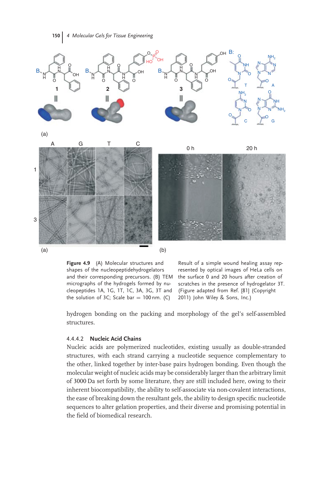

**Figure 4.9** (A) Molecular structures and shapes of the nucleopeptidehydrogelators and their corresponding precursors. (B) TEM micrographs of the hydrogels formed by nucleopeptides 1A, 1G, 1T, 1C, 3A, 3G, 3T and the solution of 3C; Scale bar  $= 100$  nm. (C)

Result of a simple wound healing assay represented by optical images of HeLa cells on the surface 0 and 20 hours after creation of scratches in the presence of hydrogelator 3T. (Figure adapted from Ref. [81] (Copyright 2011) John Wiley & Sons, Inc.)

hydrogen bonding on the packing and morphology of the gel's self-assembled structures.

#### 4.4.4.2 **Nucleic Acid Chains**

Nucleic acids are polymerized nucleotides, existing usually as double-stranded structures, with each strand carrying a nucleotide sequence complementary to the other, linked together by inter-base pairs hydrogen bonding. Even though the molecular weight of nucleic acids may be considerably larger than the arbitrary limit of 3000 Da set forth by some literature, they are still included here, owing to their inherent biocompatibility, the ability to self-associate via non-covalent interactions, the ease of breaking down the resultant gels, the ability to design specific nucleotide sequences to alter gelation properties, and their diverse and promising potential in the field of biomedical research.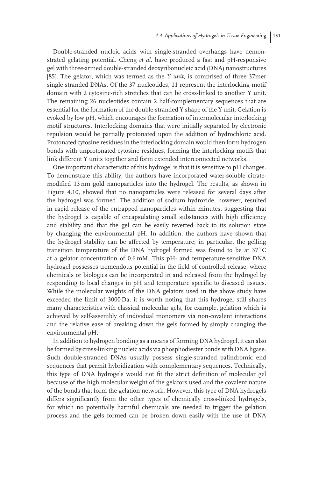Double-stranded nucleic acids with single-stranded overhangs have demonstrated gelating potential. Cheng *et al*. have produced a fast and pH-responsive gel with three-armed double-stranded deoxyribonucleic acid (DNA) nanostructures [85]. The gelator, which was termed as the *Y unit*, is comprised of three 37mer single stranded DNAs. Of the 37 nucleotides, 11 represent the interlocking motif domain with 2 cytosine-rich stretches that can be cross-linked to another Y unit. The remaining 26 nucleotides contain 2 half-complementary sequences that are essential for the formation of the double-stranded Y shape of the Y unit. Gelation is evoked by low pH, which encourages the formation of intermolecular interlocking motif structures. Interlocking domains that were initially separated by electronic repulsion would be partially protonated upon the addition of hydrochloric acid. Protonated cytosine residues in the interlocking domain would then form hydrogen bonds with unprotonated cytosine residues, forming the interlocking motifs that link different Y units together and form extended interconnected networks.

One important characteristic of this hydrogel is that it is sensitive to pH changes. To demonstrate this ability, the authors have incorporated water-soluble citratemodified 13 nm gold nanoparticles into the hydrogel. The results, as shown in Figure 4.10, showed that no nanoparticles were released for several days after the hydrogel was formed. The addition of sodium hydroxide, however, resulted in rapid release of the entrapped nanoparticles within minutes, suggesting that the hydrogel is capable of encapsulating small substances with high efficiency and stability and that the gel can be easily reverted back to its solution state by changing the environmental pH. In addition, the authors have shown that the hydrogel stability can be affected by temperature; in particular, the gelling transition temperature of the DNA hydrogel formed was found to be at 37 ◦ C at a gelator concentration of 0.6 mM. This pH- and temperature-sensitive DNA hydrogel possesses tremendous potential in the field of controlled release, where chemicals or biologics can be incorporated in and released from the hydrogel by responding to local changes in pH and temperature specific to diseased tissues. While the molecular weights of the DNA gelators used in the above study have exceeded the limit of 3000 Da, it is worth noting that this hydrogel still shares many characteristics with classical molecular gels, for example, gelation which is achieved by self-assembly of individual monomers via non-covalent interactions and the relative ease of breaking down the gels formed by simply changing the environmental pH.

In addition to hydrogen bonding as a means of forming DNA hydrogel, it can also be formed by cross-linking nucleic acids via phosphodiester bonds with DNA ligase. Such double-stranded DNAs usually possess single-stranded palindromic end sequences that permit hybridization with complementary sequences. Technically, this type of DNA hydrogels would not fit the strict definition of molecular gel because of the high molecular weight of the gelators used and the covalent nature of the bonds that form the gelation network. However, this type of DNA hydrogels differs significantly from the other types of chemically cross-linked hydrogels, for which no potentially harmful chemicals are needed to trigger the gelation process and the gels formed can be broken down easily with the use of DNA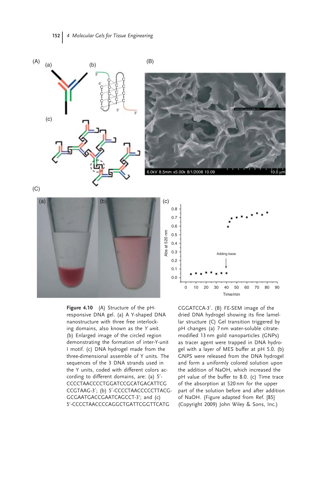

**Figure 4.10** (A) Structure of the pHresponsive DNA gel. (a) A Y-shaped DNA nanostructure with three free interlocking domains, also known as the *Y unit*. (b) Enlarged image of the circled region demonstrating the formation of inter-Y-unit I motif. (c) DNA hydrogel made from the three-dimensional assemble of Y units. The sequences of the 3 DNA strands used in the Y units, coded with different colors according to different domains, are: (a) 5'-CCCCTAACCCCTGGATCCGCATGACATTCG CCGTAAG-3- ; (b) 5- -CCCCTAACCCCCTTACG-GCGAATGACCGAATCAGCCT-3'; and (c) 5- -CCCCTAACCCCAGGCTGATTCGGTTCATG

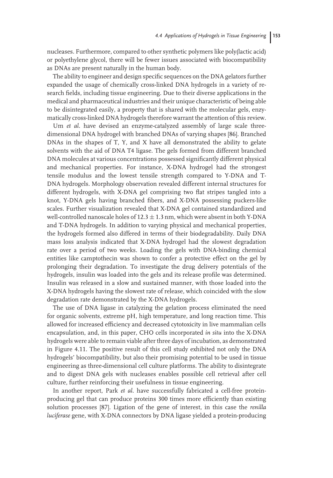nucleases. Furthermore, compared to other synthetic polymers like poly(lactic acid) or polyethylene glycol, there will be fewer issues associated with biocompatibility as DNAs are present naturally in the human body.

The ability to engineer and design specific sequences on the DNA gelators further expanded the usage of chemically cross-linked DNA hydrogels in a variety of research fields, including tissue engineering. Due to their diverse applications in the medical and pharmaceutical industries and their unique characteristic of being able to be disintegrated easily, a property that is shared with the molecular gels, enzymatically cross-linked DNA hydrogels therefore warrant the attention of this review.

Um *et al*. have devised an enzyme-catalyzed assembly of large scale threedimensional DNA hydrogel with branched DNAs of varying shapes [86]. Branched DNAs in the shapes of T, Y, and X have all demonstrated the ability to gelate solvents with the aid of DNA T4 ligase. The gels formed from different branched DNA molecules at various concentrations possessed significantly different physical and mechanical properties. For instance, X-DNA hydrogel had the strongest tensile modulus and the lowest tensile strength compared to Y-DNA and T-DNA hydrogels. Morphology observation revealed different internal structures for different hydrogels, with X-DNA gel comprising two flat stripes tangled into a knot, Y-DNA gels having branched fibers, and X-DNA possessing puckers-like scales. Further visualization revealed that X-DNA gel contained standardized and well-controlled nanoscale holes of  $12.3 \pm 1.3$  nm, which were absent in both Y-DNA and T-DNA hydrogels. In addition to varying physical and mechanical properties, the hydrogels formed also differed in terms of their biodegradability. Daily DNA mass loss analysis indicated that X-DNA hydrogel had the slowest degradation rate over a period of two weeks. Loading the gels with DNA-binding chemical entities like camptothecin was shown to confer a protective effect on the gel by prolonging their degradation. To investigate the drug delivery potentials of the hydrogels, insulin was loaded into the gels and its release profile was determined. Insulin was released in a slow and sustained manner, with those loaded into the X-DNA hydrogels having the slowest rate of release, which coincided with the slow degradation rate demonstrated by the X-DNA hydrogels.

The use of DNA ligase in catalyzing the gelation process eliminated the need for organic solvents, extreme pH, high temperature, and long reaction time. This allowed for increased efficiency and decreased cytotoxicity in live mammalian cells encapsulation, and, in this paper, CHO cells incorporated *in situ* into the X-DNA hydrogels were able to remain viable after three days of incubation, as demonstrated in Figure 4.11. The positive result of this cell study exhibited not only the DNA hydrogels' biocompatibility, but also their promising potential to be used in tissue engineering as three-dimensional cell culture platforms. The ability to disintegrate and to digest DNA gels with nucleases enables possible cell retrieval after cell culture, further reinforcing their usefulness in tissue engineering.

In another report, Park *et al*. have successfully fabricated a cell-free proteinproducing gel that can produce proteins 300 times more efficiently than existing solution processes [87]. Ligation of the gene of interest, in this case the *renilla luciferase* gene, with X-DNA connectors by DNA ligase yielded a protein-producing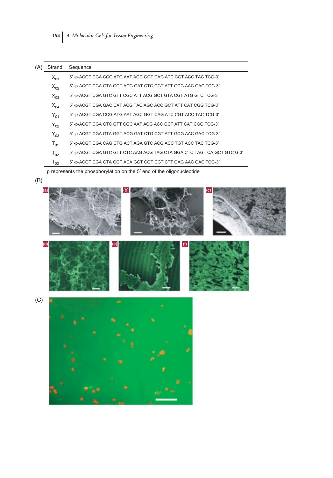| (A) | Strand   | Sequence                                                               |
|-----|----------|------------------------------------------------------------------------|
|     | $X_{01}$ | 5'-p-ACGT CGA CCG ATG AAT AGC GGT CAG ATC CGT ACC TAC TCG-3'           |
|     | $X_{02}$ | 5'-p-ACGT CGA GTA GGT ACG GAT CTG CGT ATT GCG AAC GAC TCG-3'           |
|     | $X_{03}$ | 5'-p-ACGT CGA GTC GTT CGC ATT ACG GCT GTA CGT ATG GTC TCG-3'           |
|     | $X_{04}$ | 5'-p-ACGT CGA GAC CAT ACG TAC AGC ACC GCT ATT CAT CGG TCG-3'           |
|     | $Y_{01}$ | 5'-p-ACGT CGA CCG ATG AAT AGC GGT CAG ATC CGT ACC TAC TCG-3'           |
|     | $Y_{02}$ | 5'-p-ACGT CGA GTC GTT CGC AAT ACG ACC GCT ATT CAT CGG TCG-3'           |
|     | $Y_{03}$ | 5'-p-ACGT CGA GTA GGT ACG GAT CTG CGT ATT GCG AAC GAC TCG-3'           |
|     | $T_{01}$ | 5'-p-ACGT CGA CAG CTG ACT AGA GTC ACG ACC TGT ACC TAC TCG-3'           |
|     | $T_{02}$ | 5'-p-ACGT CGA GTC GTT CTC AAG ACG TAG CTA GGA CTC TAG TCA GCT GTC G-3' |
|     | $T_{03}$ | 5'-p-ACGT CGA GTA GGT ACA GGT CGT CGT CTT GAG AAC GAC TCG-3'           |

p represents the phosphorylation on the 5′ end of the oligonucleotide













(C)

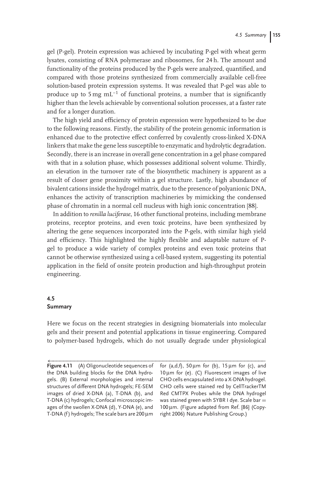gel (P-gel). Protein expression was achieved by incubating P-gel with wheat germ lysates, consisting of RNA polymerase and ribosomes, for 24 h. The amount and functionality of the proteins produced by the P-gels were analyzed, quantified, and compared with those proteins synthesized from commercially available cell-free solution-based protein expression systems. It was revealed that P-gel was able to produce up to  $5 \text{ mg } \text{mL}^{-1}$  of functional proteins, a number that is significantly higher than the levels achievable by conventional solution processes, at a faster rate and for a longer duration.

The high yield and efficiency of protein expression were hypothesized to be due to the following reasons. Firstly, the stability of the protein genomic information is enhanced due to the protective effect conferred by covalently cross-linked X-DNA linkers that make the gene less susceptible to enzymatic and hydrolytic degradation. Secondly, there is an increase in overall gene concentration in a gel phase compared with that in a solution phase, which possesses additional solvent volume. Thirdly, an elevation in the turnover rate of the biosynthetic machinery is apparent as a result of closer gene proximity within a gel structure. Lastly, high abundance of bivalent cations inside the hydrogel matrix, due to the presence of polyanionic DNA, enhances the activity of transcription machineries by mimicking the condensed phase of chromatin in a normal cell nucleus with high ionic concentration [88].

In addition to *renilla luciferase*, 16 other functional proteins, including membrane proteins, receptor proteins, and even toxic proteins, have been synthesized by altering the gene sequences incorporated into the P-gels, with similar high yield and efficiency. This highlighted the highly flexible and adaptable nature of Pgel to produce a wide variety of complex proteins and even toxic proteins that cannot be otherwise synthesized using a cell-based system, suggesting its potential application in the field of onsite protein production and high-throughput protein engineering.

# **4.5 Summary**

Here we focus on the recent strategies in designing biomaterials into molecular gels and their present and potential applications in tissue engineering. Compared to polymer-based hydrogels, which do not usually degrade under physiological

Figure 4.11 (A) Oligonucleotide sequences of the DNA building blocks for the DNA hydrogels. (B) External morphologies and internal structures of different DNA hydrogels; FE-SEM images of dried X-DNA (a), T-DNA (b), and T-DNA (c) hydrogels; Confocal microscopic images of the swollen X-DNA (d), Y-DNA (e), and T-DNA (f) hydrogels; The scale bars are  $200 \,\mu m$  for (a,d,f),  $50 \mu m$  for (b),  $15 \mu m$  for (c), and 10 μm for (e). (C) Fluorescent images of live CHO cells encapsulated into a X-DNA hydrogel. CHO cells were stained red by CellTrackerTM Red CMTPX Probes while the DNA hydrogel was stained green with SYBR I dye. Scale bar  $=$ 100 μm. (Figure adapted from Ref. [86] (Copyright 2006) Nature Publishing Group.)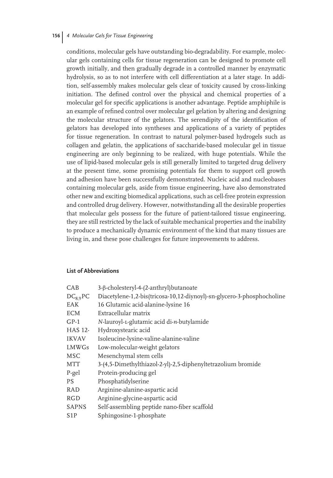conditions, molecular gels have outstanding bio-degradability. For example, molecular gels containing cells for tissue regeneration can be designed to promote cell growth initially, and then gradually degrade in a controlled manner by enzymatic hydrolysis, so as to not interfere with cell differentiation at a later stage. In addition, self-assembly makes molecular gels clear of toxicity caused by cross-linking initiation. The defined control over the physical and chemical properties of a molecular gel for specific applications is another advantage. Peptide amphiphile is an example of refined control over molecular gel gelation by altering and designing the molecular structure of the gelators. The serendipity of the identification of gelators has developed into syntheses and applications of a variety of peptides for tissue regeneration. In contrast to natural polymer-based hydrogels such as collagen and gelatin, the applications of saccharide-based molecular gel in tissue engineering are only beginning to be realized, with huge potentials. While the use of lipid-based molecular gels is still generally limited to targeted drug delivery at the present time, some promising potentials for them to support cell growth and adhesion have been successfully demonstrated. Nucleic acid and nucleobases containing molecular gels, aside from tissue engineering, have also demonstrated other new and exciting biomedical applications, such as cell-free protein expression and controlled drug delivery. However, notwithstanding all the desirable properties that molecular gels possess for the future of patient-tailored tissue engineering, they are still restricted by the lack of suitable mechanical properties and the inability to produce a mechanically dynamic environment of the kind that many tissues are living in, and these pose challenges for future improvements to address.

### **List of Abbreviations**

| CAB          | $3-\beta$ -cholesteryl-4-(2-anthryl) butanoate                         |  |  |  |
|--------------|------------------------------------------------------------------------|--|--|--|
| $DC_{8.9}PC$ | Diacetylene-1,2-bis(tricosa-10,12-diynoyl)-sn-glycero-3-phosphocholine |  |  |  |
| EAK          | 16 Glutamic acid-alanine-lysine 16                                     |  |  |  |
| <b>ECM</b>   | Extracellular matrix                                                   |  |  |  |
| $G.P-1$      | N-lauroyl-L-glutamic acid di-n-butylamide                              |  |  |  |
| HAS 12-      | Hydroxystearic acid                                                    |  |  |  |
| <b>IKVAV</b> | Isoleucine-lysine-valine-alanine-valine                                |  |  |  |
| LMWGs        | Low-molecular-weight gelators                                          |  |  |  |
| <b>MSC</b>   | Mesenchymal stem cells                                                 |  |  |  |
| MTT          | 3-(4,5-Dimethylthiazol-2-yl)-2,5-diphenyltetrazolium bromide           |  |  |  |
| P-gel        | Protein-producing gel                                                  |  |  |  |
| <b>PS</b>    | Phosphatidylserine                                                     |  |  |  |
| <b>RAD</b>   | Arginine-alanine-aspartic acid                                         |  |  |  |
| RGD          | Arginine-glycine-aspartic acid                                         |  |  |  |
| <b>SAPNS</b> | Self-assembling peptide nano-fiber scaffold                            |  |  |  |
| S1P          | Sphingosine-1-phosphate                                                |  |  |  |
|              |                                                                        |  |  |  |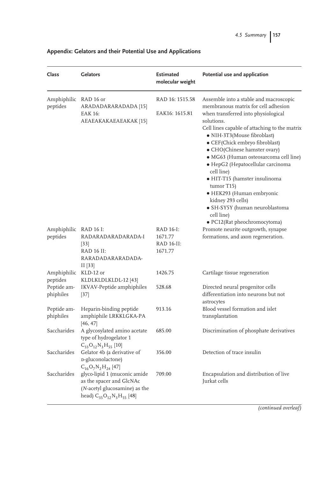| Class                             | <b>Gelators</b>                                                                                                                 | <b>Estimated</b><br>molecular weight          | Potential use and application                                                                                                                                                                                                                                                                                                                                                                                                                                                                                                     |
|-----------------------------------|---------------------------------------------------------------------------------------------------------------------------------|-----------------------------------------------|-----------------------------------------------------------------------------------------------------------------------------------------------------------------------------------------------------------------------------------------------------------------------------------------------------------------------------------------------------------------------------------------------------------------------------------------------------------------------------------------------------------------------------------|
| Amphiphilic RAD 16 or<br>peptides | ARADADARARADADA [15]<br>EAK 16:<br>AEAEAKAKAEAEAKAK [15]                                                                        | RAD 16: 1515.58<br>EAK16: 1615.81             | Assemble into a stable and macroscopic<br>membranous matrix for cell adhesion<br>when transferred into physiological<br>solutions.<br>Cell lines capable of attaching to the matrix<br>· NIH-3T3(Mouse fibroblast)<br>• CEF(Chick embryo fibroblast)<br>• CHO(Chinese hamster ovary)<br>• MG63 (Human osteosarcoma cell line)<br>· HepG2 (Hepatocellular carcinoma<br>cell line)<br>• HIT-T15 (hamster insulinoma<br>tumor T15)<br>• HEK293 (Human embryonic<br>kidney 293 cells)<br>· SH-SY5Y (human neuroblastoma<br>cell line) |
| Amphiphilic<br>peptides           | RAD 16 I:<br>RADARADARADARADA-I<br>$[33]$<br><b>RAD 16 II:</b><br>RARADADARARADADA-                                             | RAD 16-I:<br>1671.77<br>RAD 16-II:<br>1671.77 | $\bullet$ PC12(Rat pheochromocytoma)<br>Promote neurite outgrowth, synapse<br>formations, and axon regeneration.                                                                                                                                                                                                                                                                                                                                                                                                                  |
| Amphiphilic<br>peptides           | II $[33]$<br>KLD-12 or<br>KLDLKLDLKLDL-12 [43]                                                                                  | 1426.75                                       | Cartilage tissue regeneration                                                                                                                                                                                                                                                                                                                                                                                                                                                                                                     |
| Peptide am-<br>phiphiles          | IKVAV-Peptide amphiphiles<br>$[37]$                                                                                             | 528.68                                        | Directed neural progenitor cells<br>differentiation into neurons but not<br>astrocytes                                                                                                                                                                                                                                                                                                                                                                                                                                            |
| Peptide am-<br>phiphiles          | Heparin-binding peptide<br>amphiphile LRKKLGKA-PA<br>[46, 47]                                                                   | 913.16                                        | Blood vessel formation and islet<br>transplantation                                                                                                                                                                                                                                                                                                                                                                                                                                                                               |
| Saccharides                       | A glycosylated amino acetate<br>type of hydrogelator 1                                                                          | 685.00                                        | Discrimination of phosphate derivatives                                                                                                                                                                                                                                                                                                                                                                                                                                                                                           |
| Saccharides                       | $C_{33}O_{12}N_3H_{55}$ [10]<br>Gelator 4b (a derivative of<br>D-gluconolactone)<br>$C_{16}O_7N_2H_{24}$ [47]                   | 356.00                                        | Detection of trace insulin                                                                                                                                                                                                                                                                                                                                                                                                                                                                                                        |
| Saccharides                       | glyco-lipid 1 (muconic amide<br>as the spacer and GlcNAc<br>(N-acetyl glucosamine) as the<br>head) $C_{35}O_{12}N_3H_{55}$ [48] | 709.00                                        | Encapsulation and distribution of live<br>Jurkat cells                                                                                                                                                                                                                                                                                                                                                                                                                                                                            |

# **Appendix: Gelators and their Potential Use and Applications**

*(continued overleaf)*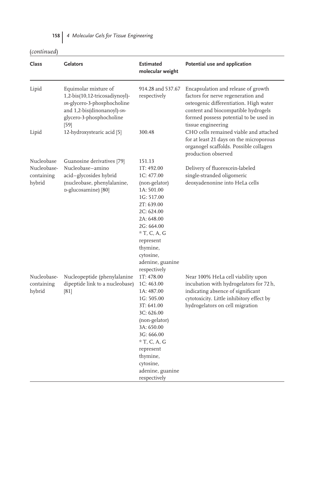|  |  | 158   4 Molecular Gels for Tissue Engineering |
|--|--|-----------------------------------------------|

# (*continued*)

| Class       | <b>Gelators</b>                                                                                                                                          | <b>Estimated</b><br>molecular weight | Potential use and application                                                                                                                                                                                              |
|-------------|----------------------------------------------------------------------------------------------------------------------------------------------------------|--------------------------------------|----------------------------------------------------------------------------------------------------------------------------------------------------------------------------------------------------------------------------|
| Lipid       | Equimolar mixture of<br>1,2-bis(10,12-tricosadiynoyl)-<br>sn-glycero-3-phosphocholine<br>and 1,2-bis(dinonanoyl)-sn-<br>glycero-3-phosphocholine<br>[59] | 914.28 and 537.67<br>respectively    | Encapsulation and release of growth<br>factors for nerve regeneration and<br>osteogenic differentiation. High water<br>content and biocompatible hydrogels<br>formed possess potential to be used in<br>tissue engineering |
| Lipid       | 12-hydroxystearic acid [5]                                                                                                                               | 300.48                               | CHO cells remained viable and attached<br>for at least 21 days on the microporous<br>organogel scaffolds. Possible collagen<br>production observed                                                                         |
| Nucleobase  | Guanosine derivatives [79]                                                                                                                               | 151.13                               |                                                                                                                                                                                                                            |
| Nucleobase- | Nucleobase-amino                                                                                                                                         | 1T: 492.00                           | Delivery of fluorescein-labeled                                                                                                                                                                                            |
| containing  | acid-glycosides hybrid                                                                                                                                   | 1C: 477.00                           | single-stranded oligomeric                                                                                                                                                                                                 |
| hybrid      | (nucleobase, phenylalanine,                                                                                                                              | (non-gelator)                        | deoxyadenonine into HeLa cells                                                                                                                                                                                             |
|             | D-glucosamine) [80]                                                                                                                                      | 1A: 501.00                           |                                                                                                                                                                                                                            |
|             |                                                                                                                                                          | 1G: 517.00                           |                                                                                                                                                                                                                            |
|             |                                                                                                                                                          | 2T: 639.00                           |                                                                                                                                                                                                                            |
|             |                                                                                                                                                          | 2C: 624.00                           |                                                                                                                                                                                                                            |
|             |                                                                                                                                                          | 2A: 648.00                           |                                                                                                                                                                                                                            |
|             |                                                                                                                                                          | 2G: 664.00                           |                                                                                                                                                                                                                            |
|             |                                                                                                                                                          | $*$ T, C, A, G                       |                                                                                                                                                                                                                            |
|             |                                                                                                                                                          | represent<br>thymine,                |                                                                                                                                                                                                                            |
|             |                                                                                                                                                          | cytosine,                            |                                                                                                                                                                                                                            |
|             |                                                                                                                                                          | adenine, guanine                     |                                                                                                                                                                                                                            |
|             |                                                                                                                                                          | respectively                         |                                                                                                                                                                                                                            |
| Nucleobase- | Nucleopeptide (phenylalanine                                                                                                                             | 1T: 478.00                           | Near 100% HeLa cell viability upon                                                                                                                                                                                         |
| containing  | dipeptide link to a nucleobase)                                                                                                                          | 1C: 463.00                           | incubation with hydrogelators for 72 h,                                                                                                                                                                                    |
| hybrid      | [81]                                                                                                                                                     | 1A: 487.00                           | indicating absence of significant                                                                                                                                                                                          |
|             |                                                                                                                                                          | 1G: 505.00                           | cytotoxicity. Little inhibitory effect by                                                                                                                                                                                  |
|             |                                                                                                                                                          | 3T: 641.00                           | hydrogelators on cell migration                                                                                                                                                                                            |
|             |                                                                                                                                                          | 3C: 626.00                           |                                                                                                                                                                                                                            |
|             |                                                                                                                                                          | (non-gelator)                        |                                                                                                                                                                                                                            |
|             |                                                                                                                                                          | 3A: 650.00                           |                                                                                                                                                                                                                            |
|             |                                                                                                                                                          | 3G: 666.00                           |                                                                                                                                                                                                                            |
|             |                                                                                                                                                          | $*$ T, C, A, G                       |                                                                                                                                                                                                                            |
|             |                                                                                                                                                          | represent                            |                                                                                                                                                                                                                            |
|             |                                                                                                                                                          | thymine,                             |                                                                                                                                                                                                                            |
|             |                                                                                                                                                          | cytosine,                            |                                                                                                                                                                                                                            |
|             |                                                                                                                                                          | adenine, guanine                     |                                                                                                                                                                                                                            |
|             |                                                                                                                                                          | respectively                         |                                                                                                                                                                                                                            |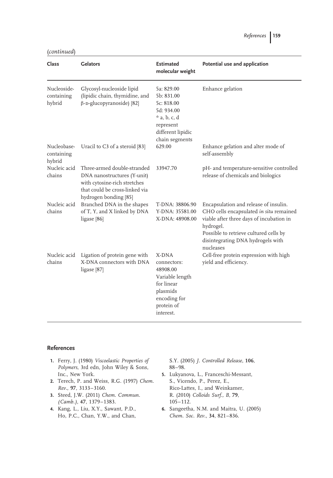| Class                               | <b>Gelators</b>                                                                                                                                       | <b>Estimated</b><br>molecular weight                                                                                       | Potential use and application                                                                                                                                                                                                         |
|-------------------------------------|-------------------------------------------------------------------------------------------------------------------------------------------------------|----------------------------------------------------------------------------------------------------------------------------|---------------------------------------------------------------------------------------------------------------------------------------------------------------------------------------------------------------------------------------|
| Nucleoside-<br>containing<br>hybrid | Glycosyl-nucleoside lipid<br>(lipidic chain, thymidine, and<br>$\beta$ -D-glucopyranoside) [82]                                                       | 5a: 829.00<br>5b: 831.00<br>5c: 818.00<br>5d: 934.00<br>$*$ a, b, c, d<br>represent<br>different lipidic<br>chain segments | Enhance gelation                                                                                                                                                                                                                      |
| Nucleobase-<br>containing<br>hybrid | Uracil to C3 of a steroid [83]                                                                                                                        | 629.00                                                                                                                     | Enhance gelation and alter mode of<br>self-assembly                                                                                                                                                                                   |
| Nucleic acid<br>chains              | Three-armed double-stranded<br>DNA nanostructures (Y-unit)<br>with cytosine-rich stretches<br>that could be cross-linked via<br>hydrogen bonding [85] | 33947.70                                                                                                                   | pH- and temperature-sensitive controlled<br>release of chemicals and biologics                                                                                                                                                        |
| Nucleic acid<br>chains              | Branched DNA in the shapes<br>of T, Y, and X linked by DNA<br>ligase [86]                                                                             | T-DNA: 38806.90<br>Y-DNA: 35581.00<br>X-DNA: 48908.00                                                                      | Encapsulation and release of insulin.<br>CHO cells encapsulated in situ remained<br>viable after three days of incubation in<br>hydrogel.<br>Possible to retrieve cultured cells by<br>disintegrating DNA hydrogels with<br>nucleases |
| Nucleic acid<br>chains              | Ligation of protein gene with<br>X-DNA connectors with DNA<br>ligase <sup>[87]</sup>                                                                  | X-DNA<br>connectors:<br>48908.00<br>Variable length<br>for linear<br>plasmids<br>encoding for<br>protein of<br>interest.   | Cell-free protein expression with high<br>yield and efficiency.                                                                                                                                                                       |

(*continued*)

#### **References**

- **1.** Ferry, J. (1980) *Viscoelastic Properties of Polymers*, 3rd edn, John Wiley & Sons, Inc., New York.
- **2.** Terech, P. and Weiss, R.G. (1997) *Chem. Rev.*, **97**, 3133–3160.
- **3.** Steed, J.W. (2011) *Chem. Commun. (Camb.)*, **47**, 1379–1383.
- **4.** Kang, L., Liu, X.Y., Sawant, P.D., Ho, P.C., Chan, Y.W., and Chan,

S.Y. (2005) *J. Controlled Release*, **106**, 88–98.

- **5.** Lukyanova, L., Franceschi-Messant, S., Vicendo, P., Perez, E., Rico-Lattes, I., and Weinkamer, R. (2010) *Colloids Surf., B*, **79**, 105–112.
- **6.** Sangeetha, N.M. and Maitra, U. (2005) *Chem. Soc. Rev.*, **34**, 821–836.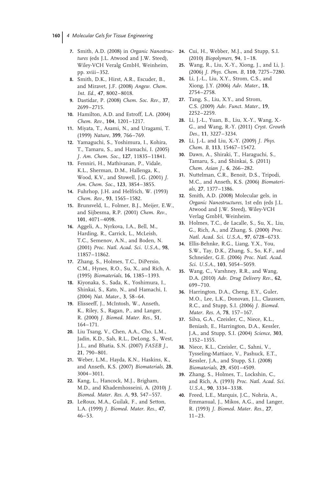- **160** *4 Molecular Gels for Tissue Engineering*
	- **7.** Smith, A.D. (2008) in *Organic Nanostructures* (eds J.L. Atwood and J.W. Steed), Wiley-VCH Veralg GmbH, Weinheim, pp. xviii–352.
	- **8.** Smith, D.K., Hirst, A.R., Escuder, B., and Miravet, J.F. (2008) *Angew. Chem. Int. Ed.*, **47**, 8002–8018.
	- **9.** Dastidar, P. (2008) *Chem. Soc. Rev.*, **37**, 2699–2715.
	- **10.** Hamilton, A.D. and Estroff, L.A. (2004) *Chem. Rev.*, **104**, 1201–1217.
	- **11.** Miyata, T., Asami, N., and Uragami, T. (1999) *Nature*, **399**, 766–769.
	- **12.** Yamaguchi, S., Yoshimura, I., Kohira, T., Tamaru, S., and Hamachi, I. (2005) *J. Am. Chem. Soc.*, **127**, 11835–11841.
	- **13.** Fenniri, H., Mathivanan, P., Vidale, K.L., Sherman, D.M., Hallenga, K., Wood, K.V., and Stowell, J.G. (2001) *J. Am. Chem. Soc.*, **123**, 3854–3855.
	- **14.** Fuhrhop, J.H. and Helfrich, W. (1993) *Chem. Rev.*, **93**, 1565–1582.
	- **15.** Brunsveld, L., Folmer, B.J., Meijer, E.W., and Sijbesma, R.P. (2001) *Chem. Rev.*, **101**, 4071–4098.
	- **16.** Aggeli, A., Nyrkova, I.A., Bell, M., Harding, R., Carrick, L., McLeish, T.C., Semenov, A.N., and Boden, N. (2001) *Proc. Natl. Acad. Sci. U.S.A.*, **98**, 11857–11862.
	- **17.** Zhang, S., Holmes, T.C., DiPersio, C.M., Hynes, R.O., Su, X., and Rich, A. (1995) *Biomaterials*, **16**, 1385–1393.
	- **18.** Kiyonaka, S., Sada, K., Yoshimura, I., Shinkai, S., Kato, N., and Hamachi, I. (2004) *Nat. Mater.*, **3**, 58–64.
	- **19.** Elisseeff, J., McIntosh, W., Anseth, K., Riley, S., Ragan, P., and Langer, R. (2000) *J. Biomed. Mater. Res.*, **51**, 164–171.
	- **20.** Liu Tsang, V., Chen, A.A., Cho, L.M., Jadin, K.D., Sah, R.L., DeLong, S., West, J.L., and Bhatia, S.N. (2007) *FASEB J.*, **21**, 790–801.
	- **21.** Weber, L.M., Hayda, K.N., Haskins, K., and Anseth, K.S. (2007) *Biomaterials*, **28**, 3004–3011.
	- **22.** Kang, L., Hancock, M.J., Brigham, M.D., and Khademhosseini, A. (2010) *J. Biomed. Mater. Res. A*, **93**, 547–557.
	- **23.** LeRoux, M.A., Guilak, F., and Setton, L.A. (1999) *J. Biomed. Mater. Res.*, **47**, 46–53.
- **24.** Cui, H., Webber, M.J., and Stupp, S.I. (2010) *Biopolymers*, **94**, 1–18.
- **25.** Wang, R., Liu, X.-Y., Xiong, J., and Li, J. (2006) *J. Phys. Chem. B*, **110**, 7275–7280.
- **26.** Li, J.-L., Liu, X.Y., Strom, C.S., and Xiong, J.Y. (2006) *Adv. Mater.*, **18**, 2754–2758.
- **27.** Tang, S., Liu, X.Y., and Strom, C.S. (2009) *Adv. Funct. Mater.*, **19**, 2252–2259.
- **28.** Li, J.-L., Yuan, B., Liu, X.-Y., Wang, X.- G., and Wang, R.-Y. (2011) *Cryst. Growth Des.*, **11**, 3227–3234.
- **29.** Li, J.-L. and Liu, X.-Y. (2009) *J. Phys. Chem. B*, **113**, 15467–15472.
- **30.** Dawn, A., Shiraki, T., Haraguchi, S., Tamaru, S., and Shinkai, S. (2011) *Chem. Asian J.*, **6**, 266–282.
- **31.** Nuttelman, C.R., Benoit, D.S., Tripodi, M.C., and Anseth, K.S. (2006) *Biomaterials*, **27**, 1377–1386.
- **32.** Smith, A.D. (2008) Molecular gels, in *Organic Nanostructures*, 1st edn (eds J.L. Atwood and J.W. Steed), Wiley-VCH Verlag GmbH, Weinheim.
- **33.** Holmes, T.C., de Lacalle, S., Su, X., Liu, G., Rich, A., and Zhang, S. (2000) *Proc. Natl. Acad. Sci. U.S.A.*, **97**, 6728–6733.
- **34.** Ellis-Behnke, R.G., Liang, Y.X., You, S.W., Tay, D.K., Zhang, S., So, K.F., and Schneider, G.E. (2006) *Proc. Natl. Acad. Sci. U.S.A.*, **103**, 5054–5059.
- **35.** Wang, C., Varshney, R.R., and Wang, D.A. (2010) *Adv. Drug Delivery Rev.*, **62**, 699–710.
- **36.** Harrington, D.A., Cheng, E.Y., Guler, M.O., Lee, L.K., Donovan, J.L., Claussen, R.C., and Stupp, S.I. (2006) *J. Biomed. Mater. Res. A*, **78**, 157–167.
- **37.** Silva, G.A., Czeisler, C., Niece, K.L., Beniash, E., Harrington, D.A., Kessler, J.A., and Stupp, S.I. (2004) *Science*, **303**, 1352–1355.
- **38.** Niece, K.L., Czeisler, C., Sahni, V., Tysseling-Mattiace, V., Pashuck, E.T., Kessler, J.A., and Stupp, S.I. (2008) *Biomaterials*, **29**, 4501–4509.
- **39.** Zhang, S., Holmes, T., Lockshin, C., and Rich, A. (1993) *Proc. Natl. Acad. Sci. U.S.A.*, **90**, 3334–3338.
- **40.** Freed, L.E., Marquis, J.C., Nohria, A., Emmanual, J., Mikos, A.G., and Langer, R. (1993) *J. Biomed. Mater. Res.*, **27**, 11–23.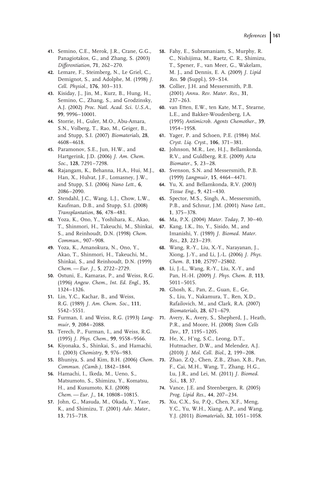- **41.** Semino, C.E., Merok, J.R., Crane, G.G., Panagiotakos, G., and Zhang, S. (2003) *Differentiation*, **71**, 262–270.
- **42.** Lemare, F., Steimberg, N., Le Griel, C., Demignot, S., and Adolphe, M. (1998) *J. Cell. Physiol.*, **176**, 303–313.
- **43.** Kisiday, J., Jin, M., Kurz, B., Hung, H., Semino, C., Zhang, S., and Grodzinsky, A.J. (2002) *Proc. Natl. Acad. Sci. U.S.A.*, **99**, 9996–10001.
- **44.** Storrie, H., Guler, M.O., Abu-Amara, S.N., Volberg, T., Rao, M., Geiger, B., and Stupp, S.I. (2007) *Biomaterials*, **28**, 4608–4618.
- **45.** Paramonov, S.E., Jun, H.W., and Hartgerink, J.D. (2006) *J. Am. Chem. Soc.*, **128**, 7291–7298.
- **46.** Rajangam, K., Behanna, H.A., Hui, M.J., Han, X., Hulvat, J.F., Lomasney, J.W., and Stupp, S.I. (2006) *Nano Lett.*, **6**, 2086–2090.
- **47.** Stendahl, J.C., Wang, L.J., Chow, L.W., Kaufman, D.B., and Stupp, S.I. (2008) *Transplantation*, **86**, 478–481.
- **48.** Yoza, K., Ono, Y., Yoshihara, K., Akao, T., Shinmori, H., Takeuchi, M., Shinkai, S., and Reinhoudt, D.N. (1998) *Chem. Commun.*, 907–908.
- **49.** Yoza, K., Amanokura, N., Ono, Y., Akao, T., Shinmori, H., Takeuchi, M., Shinkai, S., and Reinhoudt, D.N. (1999) *Chem.— Eur. J.*, **5**, 2722–2729.
- **50.** Ostuni, E., Kamaras, P., and Weiss, R.G. (1996) *Angew. Chem., Int. Ed. Engl.*, **35**, 1324–1326.
- **51.** Lin, Y.C., Kachar, B., and Weiss, R.G. (1989) *J. Am. Chem. Soc.*, **111**, 5542–5551.
- **52.** Furman, I. and Weiss, R.G. (1993) *Langmuir*, **9**, 2084–2088.
- **53.** Terech, P., Furman, I., and Weiss, R.G. (1995) *J. Phys. Chem.*, **99**, 9558–9566.
- **54.** Kiyonaka, S., Shinkai, S., and Hamachi, I. (2003) *Chemistry*, **9**, 976–983.
- **55.** Bhuniya, S. and Kim, B.H. (2006) *Chem. Commun. (Camb.)*, 1842–1844.
- **56.** Hamachi, I., Ikeda, M., Ueno, S., Matsumoto, S., Shimizu, Y., Komatsu, H., and Kusumoto, K.I. (2008) *Chem.— Eur. J.*, **14**, 10808–10815.
- **57.** John, G., Masuda, M., Okada, Y., Yase, K., and Shimizu, T. (2001) *Adv. Mater.*, **13**, 715–718.
- **58.** Fahy, E., Subramaniam, S., Murphy, R. C., Nishijima, M., Raetz, C. R., Shimizu, T., Spener, F., van Meer, G., Wakelam, M. J., and Dennis, E. A. (2009) *J. Lipid Res.* **50** (Suppl.), S9–S14.
- **59.** Collier, J.H. and Messersmith, P.B. (2001) *Annu. Rev. Mater. Res.*, **31**, 237–263.
- **60.** van Etten, E.W., ten Kate, M.T., Stearne, L.E., and Bakker-Woudenberg, I.A. (1995) *Antimicrob. Agents Chemother.*, **39**, 1954–1958.
- **61.** Yager, P. and Schoen, P.E. (1984) *Mol. Cryst. Liq. Cryst.*, **106**, 371–381.
- **62.** Johnson, M.R., Lee, H.J., Bellamkonda, R.V., and Guldberg, R.E. (2009) *Acta Biomater.*, **5**, 23–28.
- **63.** Svenson, S.N. and Messersmith, P.B. (1999) *Langmuir*, **15**, 4464–4471.
- **64.** Yu, X. and Bellamkonda, R.V. (2003) *Tissue Eng.*, **9**, 421–430.
- **65.** Spector, M.S., Singh, A., Messersmith, P.B., and Schnur, J.M. (2001) *Nano Lett.*, **1**, 375–378.
- **66.** Ma, P.X. (2004) *Mater. Today*, **7**, 30–40.
- **67.** Kang, I.K., Ito, Y., Sisido, M., and Imanishi, Y. (1989) *J. Biomed. Mater. Res.*, **23**, 223–239.
- **68.** Wang, R.-Y., Liu, X.-Y., Narayanan, J., Xiong, J.-Y., and Li, J.-L. (2006) *J. Phys. Chem. B*, **110**, 25797–25802.
- **69.** Li, J.-L., Wang, R.-Y., Liu, X.-Y., and Pan, H.-H. (2009) *J. Phys. Chem. B*, **113**, 5011–5015.
- **70.** Ghosh, K., Pan, Z., Guan, E., Ge, S., Liu, Y., Nakamura, T., Ren, X.D., Rafailovich, M., and Clark, R.A. (2007) *Biomaterials*, **28**, 671–679.
- **71.** Avery, K., Avery, S., Shepherd, J., Heath, P.R., and Moore, H. (2008) *Stem Cells Dev.*, **17**, 1195–1205.
- **72.** He, X., H'ng, S.C., Leong, D.T., Hutmacher, D.W., and Melendez, A.J. (2010) *J. Mol. Cell. Biol.*, **2**, 199–208.
- **73.** Zhao, Z.Q., Chen, Z.B., Zhao, X.B., Pan, F., Cai, M.H., Wang, T., Zhang, H.G., Lu, J.R., and Lei, M. (2011) *J. Biomed. Sci.*, **18**, 37.
- **74.** Vance, J.E. and Steenbergen, R. (2005) *Prog. Lipid Res.*, **44**, 207–234.
- **75.** Xu, C.X., Su, P.Q., Chen, X.F., Meng, Y.C., Yu, W.H., Xiang, A.P., and Wang, Y.J. (2011) *Biomaterials*, **32**, 1051–1058.